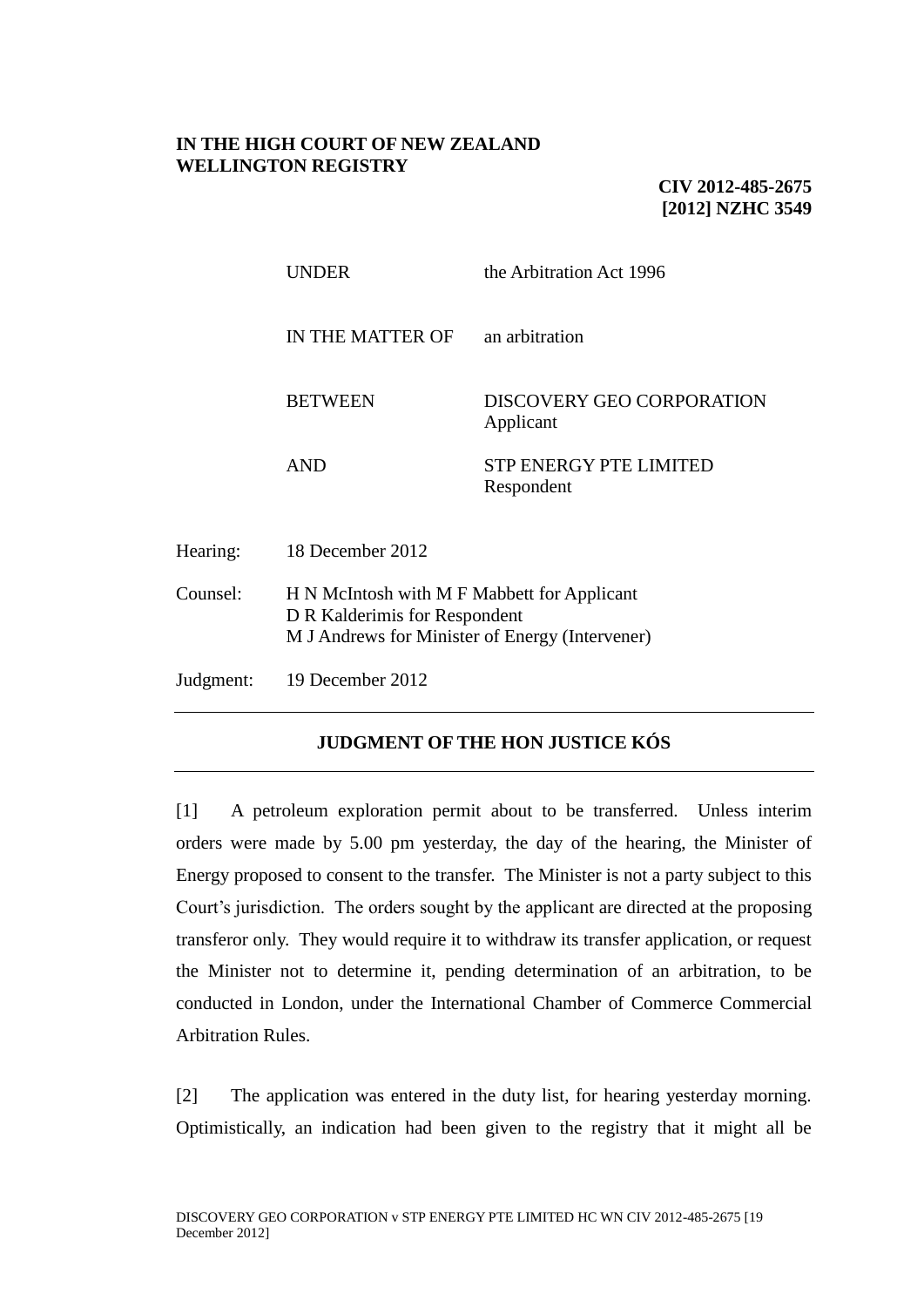## **IN THE HIGH COURT OF NEW ZEALAND WELLINGTON REGISTRY**

**CIV 2012-485-2675 [2012] NZHC 3549**

|           | <b>UNDER</b>                                                                                                                    | the Arbitration Act 1996                      |
|-----------|---------------------------------------------------------------------------------------------------------------------------------|-----------------------------------------------|
|           | IN THE MATTER OF                                                                                                                | an arbitration                                |
|           | <b>BETWEEN</b>                                                                                                                  | <b>DISCOVERY GEO CORPORATION</b><br>Applicant |
|           | <b>AND</b>                                                                                                                      | <b>STP ENERGY PTE LIMITED</b><br>Respondent   |
| Hearing:  | 18 December 2012                                                                                                                |                                               |
| Counsel:  | H N McIntosh with M F Mabbett for Applicant<br>D R Kalderimis for Respondent<br>M J Andrews for Minister of Energy (Intervener) |                                               |
| Judgment: | 19 December 2012                                                                                                                |                                               |

# **JUDGMENT OF THE HON JUSTICE KÓS**

[1] A petroleum exploration permit about to be transferred. Unless interim orders were made by 5.00 pm yesterday, the day of the hearing, the Minister of Energy proposed to consent to the transfer. The Minister is not a party subject to this Court's jurisdiction. The orders sought by the applicant are directed at the proposing transferor only. They would require it to withdraw its transfer application, or request the Minister not to determine it, pending determination of an arbitration, to be conducted in London, under the International Chamber of Commerce Commercial Arbitration Rules.

[2] The application was entered in the duty list, for hearing yesterday morning. Optimistically, an indication had been given to the registry that it might all be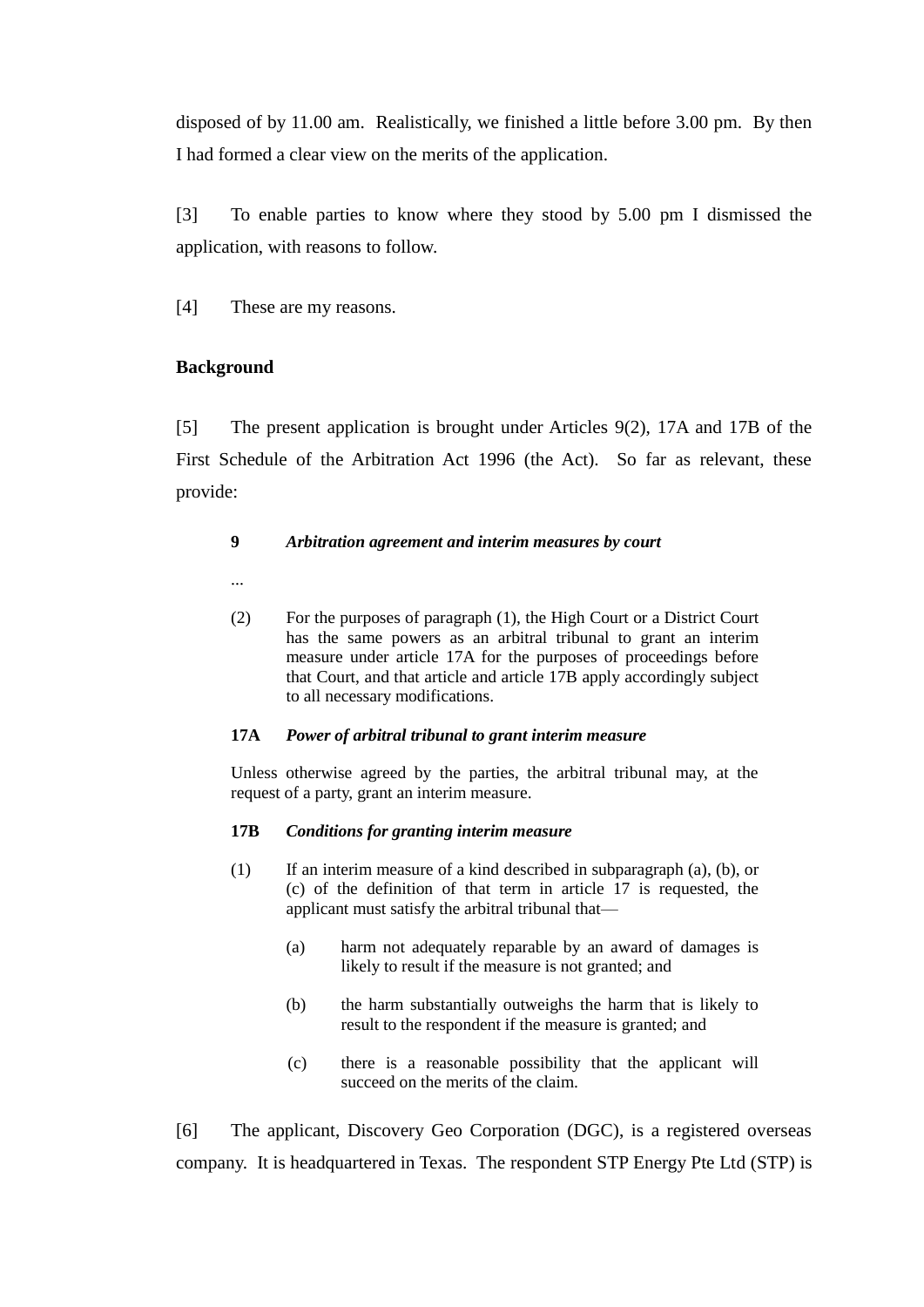disposed of by 11.00 am. Realistically, we finished a little before 3.00 pm. By then I had formed a clear view on the merits of the application.

[3] To enable parties to know where they stood by 5.00 pm I dismissed the application, with reasons to follow.

[4] These are my reasons.

## **Background**

[5] The present application is brought under Articles 9(2), 17A and 17B of the First Schedule of the Arbitration Act 1996 (the Act). So far as relevant, these provide:

### **9** *Arbitration agreement and interim measures by court*

- ...
- (2) For the purposes of paragraph (1), the High Court or a District Court has the same powers as an arbitral tribunal to grant an interim measure under article 17A for the purposes of proceedings before that Court, and that article and article 17B apply accordingly subject to all necessary modifications.

### **17A** *Power of arbitral tribunal to grant interim measure*

Unless otherwise agreed by the parties, the arbitral tribunal may, at the request of a party, grant an interim measure.

### **17B** *Conditions for granting interim measure*

- (1) If an interim measure of a kind described in subparagraph (a), (b), or (c) of the definition of that term in article 17 is requested, the applicant must satisfy the arbitral tribunal that—
	- (a) harm not adequately reparable by an award of damages is likely to result if the measure is not granted; and
	- (b) the harm substantially outweighs the harm that is likely to result to the respondent if the measure is granted; and
	- (c) there is a reasonable possibility that the applicant will succeed on the merits of the claim.

[6] The applicant, Discovery Geo Corporation (DGC), is a registered overseas company. It is headquartered in Texas. The respondent STP Energy Pte Ltd (STP) is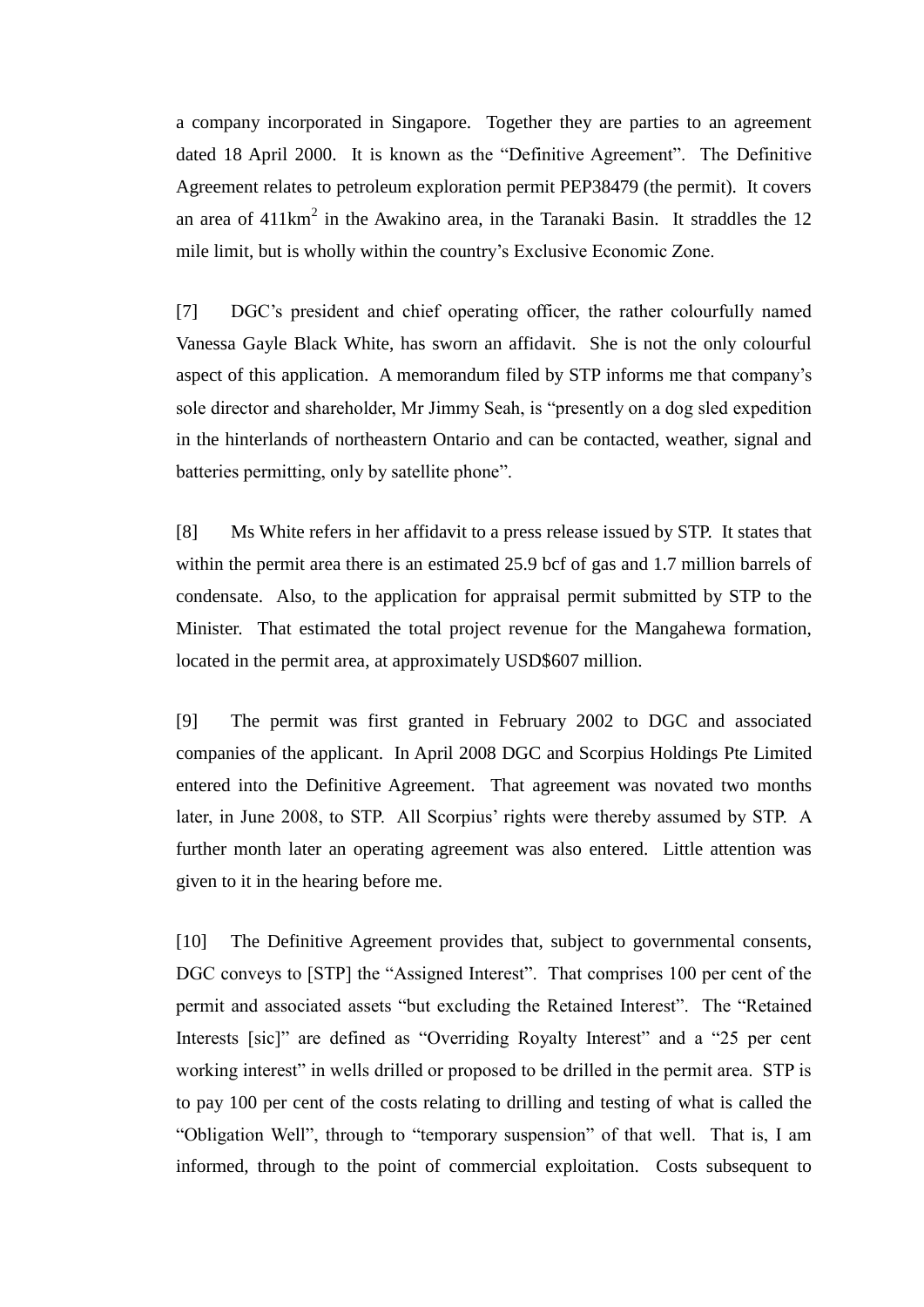a company incorporated in Singapore. Together they are parties to an agreement dated 18 April 2000. It is known as the "Definitive Agreement". The Definitive Agreement relates to petroleum exploration permit PEP38479 (the permit). It covers an area of  $411 \text{km}^2$  in the Awakino area, in the Taranaki Basin. It straddles the 12 mile limit, but is wholly within the country's Exclusive Economic Zone.

[7] DGC's president and chief operating officer, the rather colourfully named Vanessa Gayle Black White, has sworn an affidavit. She is not the only colourful aspect of this application. A memorandum filed by STP informs me that company's sole director and shareholder, Mr Jimmy Seah, is "presently on a dog sled expedition in the hinterlands of northeastern Ontario and can be contacted, weather, signal and batteries permitting, only by satellite phone".

[8] Ms White refers in her affidavit to a press release issued by STP. It states that within the permit area there is an estimated 25.9 bcf of gas and 1.7 million barrels of condensate. Also, to the application for appraisal permit submitted by STP to the Minister. That estimated the total project revenue for the Mangahewa formation, located in the permit area, at approximately USD\$607 million.

[9] The permit was first granted in February 2002 to DGC and associated companies of the applicant. In April 2008 DGC and Scorpius Holdings Pte Limited entered into the Definitive Agreement. That agreement was novated two months later, in June 2008, to STP. All Scorpius' rights were thereby assumed by STP. A further month later an operating agreement was also entered. Little attention was given to it in the hearing before me.

[10] The Definitive Agreement provides that, subject to governmental consents, DGC conveys to [STP] the "Assigned Interest". That comprises 100 per cent of the permit and associated assets "but excluding the Retained Interest". The "Retained Interests [sic]" are defined as "Overriding Royalty Interest" and a "25 per cent working interest" in wells drilled or proposed to be drilled in the permit area. STP is to pay 100 per cent of the costs relating to drilling and testing of what is called the "Obligation Well", through to "temporary suspension" of that well. That is, I am informed, through to the point of commercial exploitation. Costs subsequent to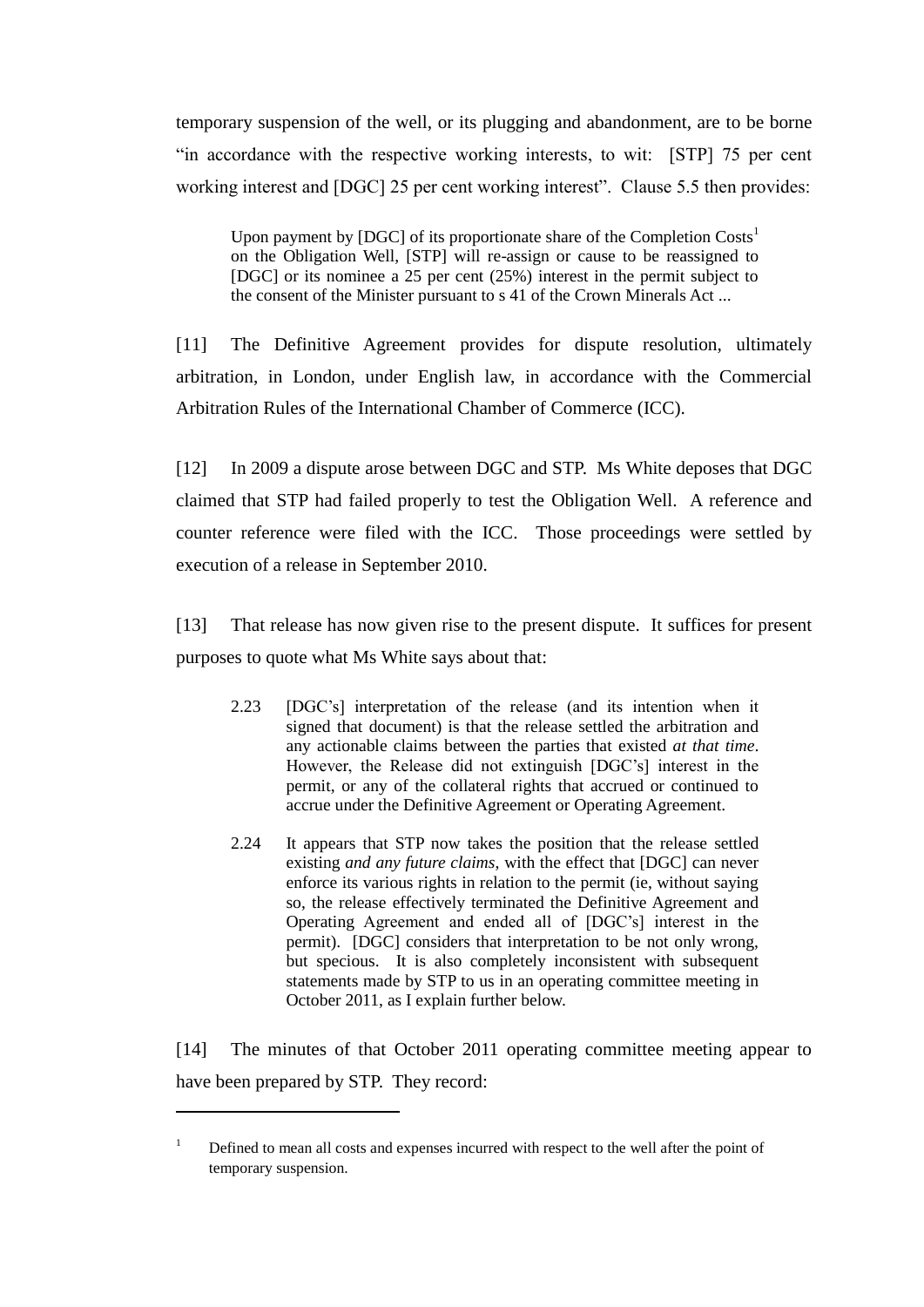temporary suspension of the well, or its plugging and abandonment, are to be borne "in accordance with the respective working interests, to wit: [STP] 75 per cent working interest and [DGC] 25 per cent working interest". Clause 5.5 then provides:

Upon payment by  $[DGC]$  of its proportionate share of the Completion  $Costs<sup>1</sup>$ on the Obligation Well, [STP] will re-assign or cause to be reassigned to [DGC] or its nominee a 25 per cent (25%) interest in the permit subject to the consent of the Minister pursuant to s 41 of the Crown Minerals Act ...

[11] The Definitive Agreement provides for dispute resolution, ultimately arbitration, in London, under English law, in accordance with the Commercial Arbitration Rules of the International Chamber of Commerce (ICC).

[12] In 2009 a dispute arose between DGC and STP. Ms White deposes that DGC claimed that STP had failed properly to test the Obligation Well. A reference and counter reference were filed with the ICC. Those proceedings were settled by execution of a release in September 2010.

[13] That release has now given rise to the present dispute. It suffices for present purposes to quote what Ms White says about that:

- 2.23 [DGC's] interpretation of the release (and its intention when it signed that document) is that the release settled the arbitration and any actionable claims between the parties that existed *at that time*. However, the Release did not extinguish [DGC's] interest in the permit, or any of the collateral rights that accrued or continued to accrue under the Definitive Agreement or Operating Agreement.
- 2.24 It appears that STP now takes the position that the release settled existing *and any future claims*, with the effect that [DGC] can never enforce its various rights in relation to the permit (ie, without saying so, the release effectively terminated the Definitive Agreement and Operating Agreement and ended all of [DGC's] interest in the permit). [DGC] considers that interpretation to be not only wrong, but specious. It is also completely inconsistent with subsequent statements made by STP to us in an operating committee meeting in October 2011, as I explain further below.

[14] The minutes of that October 2011 operating committee meeting appear to have been prepared by STP. They record:

 $1$  Defined to mean all costs and expenses incurred with respect to the well after the point of temporary suspension.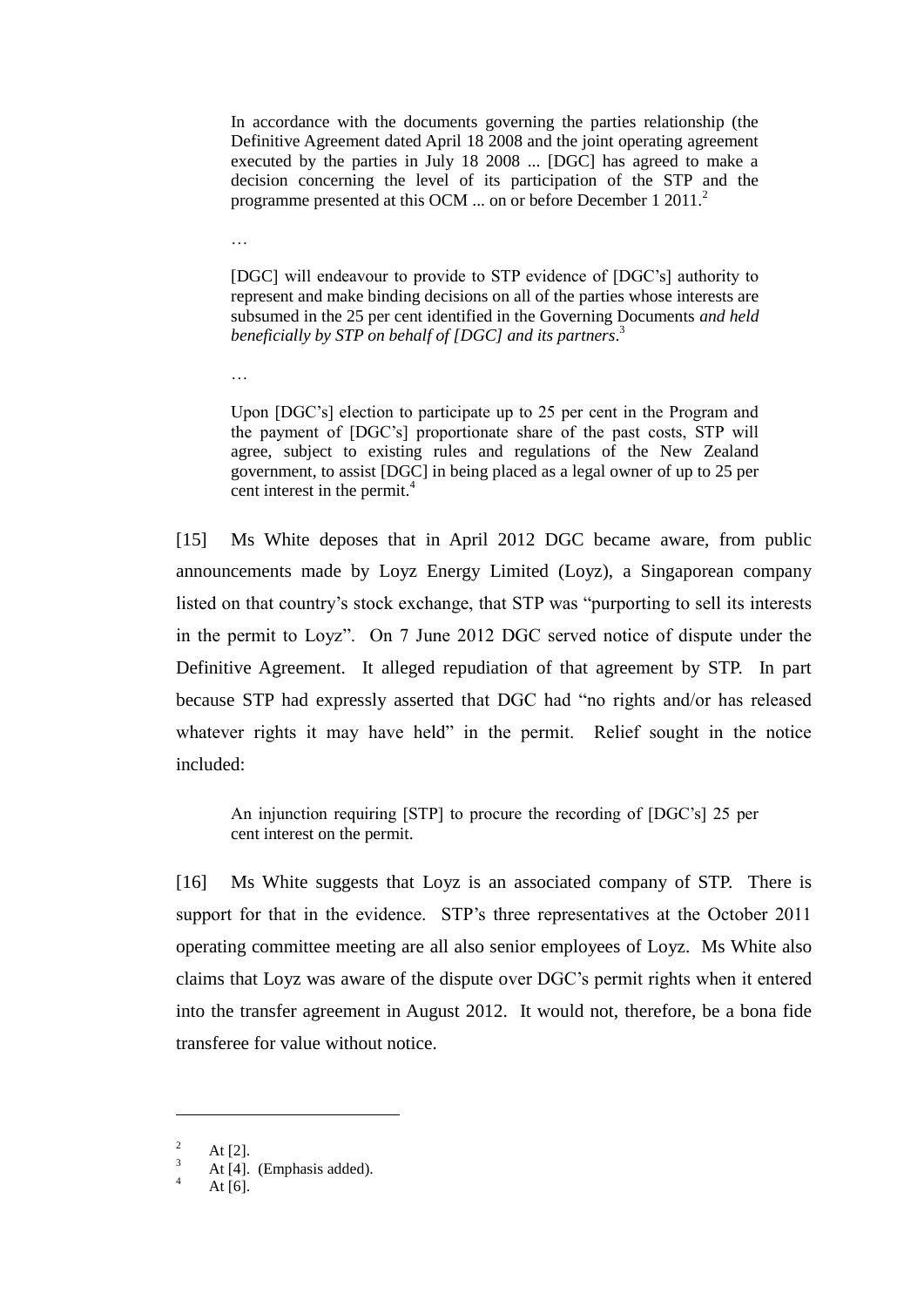In accordance with the documents governing the parties relationship (the Definitive Agreement dated April 18 2008 and the joint operating agreement executed by the parties in July 18 2008 ... [DGC] has agreed to make a decision concerning the level of its participation of the STP and the programme presented at this OCM ... on or before December 1 2011.<sup>2</sup>

[DGC] will endeavour to provide to STP evidence of [DGC's] authority to represent and make binding decisions on all of the parties whose interests are subsumed in the 25 per cent identified in the Governing Documents *and held beneficially by STP on behalf of [DGC] and its partners*. 3

Upon [DGC's] election to participate up to 25 per cent in the Program and the payment of [DGC's] proportionate share of the past costs, STP will agree, subject to existing rules and regulations of the New Zealand government, to assist [DGC] in being placed as a legal owner of up to 25 per cent interest in the permit.<sup>4</sup>

[15] Ms White deposes that in April 2012 DGC became aware, from public announcements made by Loyz Energy Limited (Loyz), a Singaporean company listed on that country's stock exchange, that STP was "purporting to sell its interests in the permit to Loyz". On 7 June 2012 DGC served notice of dispute under the Definitive Agreement. It alleged repudiation of that agreement by STP. In part because STP had expressly asserted that DGC had "no rights and/or has released whatever rights it may have held" in the permit. Relief sought in the notice included:

An injunction requiring [STP] to procure the recording of [DGC's] 25 per cent interest on the permit.

[16] Ms White suggests that Loyz is an associated company of STP. There is support for that in the evidence. STP's three representatives at the October 2011 operating committee meeting are all also senior employees of Loyz. Ms White also claims that Loyz was aware of the dispute over DGC's permit rights when it entered into the transfer agreement in August 2012. It would not, therefore, be a bona fide transferee for value without notice.

 $\overline{\phantom{a}}$ 

…

…

<sup>&</sup>lt;sup>2</sup> At [2].

 $\frac{3}{4}$  At [4]. (Emphasis added).

At  $[6]$ .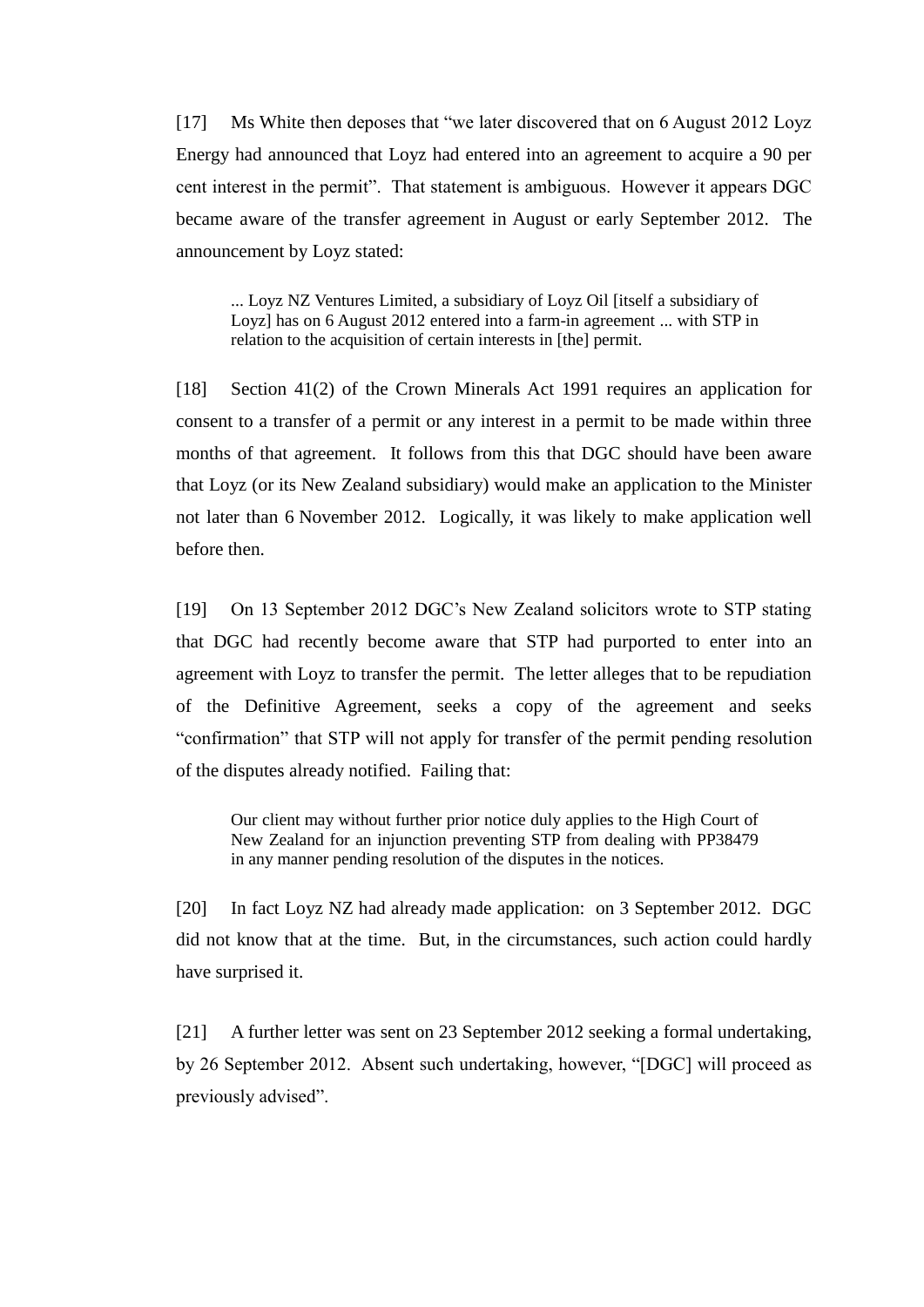[17] Ms White then deposes that "we later discovered that on 6 August 2012 Loyz Energy had announced that Loyz had entered into an agreement to acquire a 90 per cent interest in the permit". That statement is ambiguous. However it appears DGC became aware of the transfer agreement in August or early September 2012. The announcement by Loyz stated:

... Loyz NZ Ventures Limited, a subsidiary of Loyz Oil [itself a subsidiary of Loyz] has on 6 August 2012 entered into a farm-in agreement ... with STP in relation to the acquisition of certain interests in [the] permit.

[18] Section 41(2) of the Crown Minerals Act 1991 requires an application for consent to a transfer of a permit or any interest in a permit to be made within three months of that agreement. It follows from this that DGC should have been aware that Loyz (or its New Zealand subsidiary) would make an application to the Minister not later than 6 November 2012. Logically, it was likely to make application well before then.

[19] On 13 September 2012 DGC's New Zealand solicitors wrote to STP stating that DGC had recently become aware that STP had purported to enter into an agreement with Loyz to transfer the permit. The letter alleges that to be repudiation of the Definitive Agreement, seeks a copy of the agreement and seeks "confirmation" that STP will not apply for transfer of the permit pending resolution of the disputes already notified. Failing that:

Our client may without further prior notice duly applies to the High Court of New Zealand for an injunction preventing STP from dealing with PP38479 in any manner pending resolution of the disputes in the notices.

[20] In fact Loyz NZ had already made application: on 3 September 2012. DGC did not know that at the time. But, in the circumstances, such action could hardly have surprised it.

[21] A further letter was sent on 23 September 2012 seeking a formal undertaking, by 26 September 2012. Absent such undertaking, however, "[DGC] will proceed as previously advised".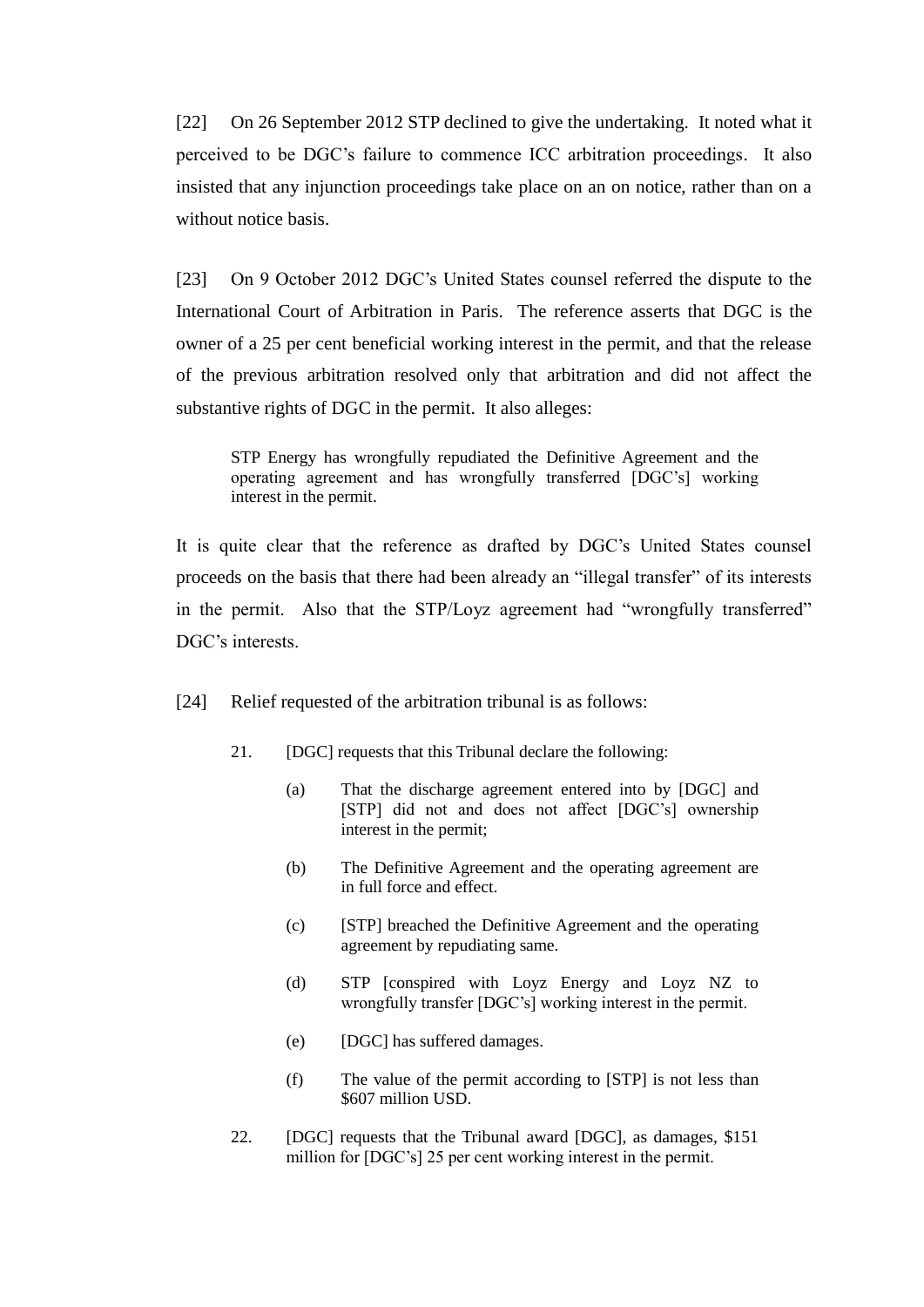[22] On 26 September 2012 STP declined to give the undertaking. It noted what it perceived to be DGC's failure to commence ICC arbitration proceedings. It also insisted that any injunction proceedings take place on an on notice, rather than on a without notice basis.

[23] On 9 October 2012 DGC's United States counsel referred the dispute to the International Court of Arbitration in Paris. The reference asserts that DGC is the owner of a 25 per cent beneficial working interest in the permit, and that the release of the previous arbitration resolved only that arbitration and did not affect the substantive rights of DGC in the permit. It also alleges:

STP Energy has wrongfully repudiated the Definitive Agreement and the operating agreement and has wrongfully transferred [DGC's] working interest in the permit.

It is quite clear that the reference as drafted by DGC's United States counsel proceeds on the basis that there had been already an "illegal transfer" of its interests in the permit. Also that the STP/Loyz agreement had "wrongfully transferred" DGC's interests.

- [24] Relief requested of the arbitration tribunal is as follows:
	- 21. [DGC] requests that this Tribunal declare the following:
		- (a) That the discharge agreement entered into by [DGC] and [STP] did not and does not affect [DGC's] ownership interest in the permit;
		- (b) The Definitive Agreement and the operating agreement are in full force and effect.
		- (c) [STP] breached the Definitive Agreement and the operating agreement by repudiating same.
		- (d) STP [conspired with Loyz Energy and Loyz NZ to wrongfully transfer [DGC's] working interest in the permit.
		- (e) [DGC] has suffered damages.
		- (f) The value of the permit according to [STP] is not less than \$607 million USD.
	- 22. [DGC] requests that the Tribunal award [DGC], as damages, \$151 million for [DGC's] 25 per cent working interest in the permit.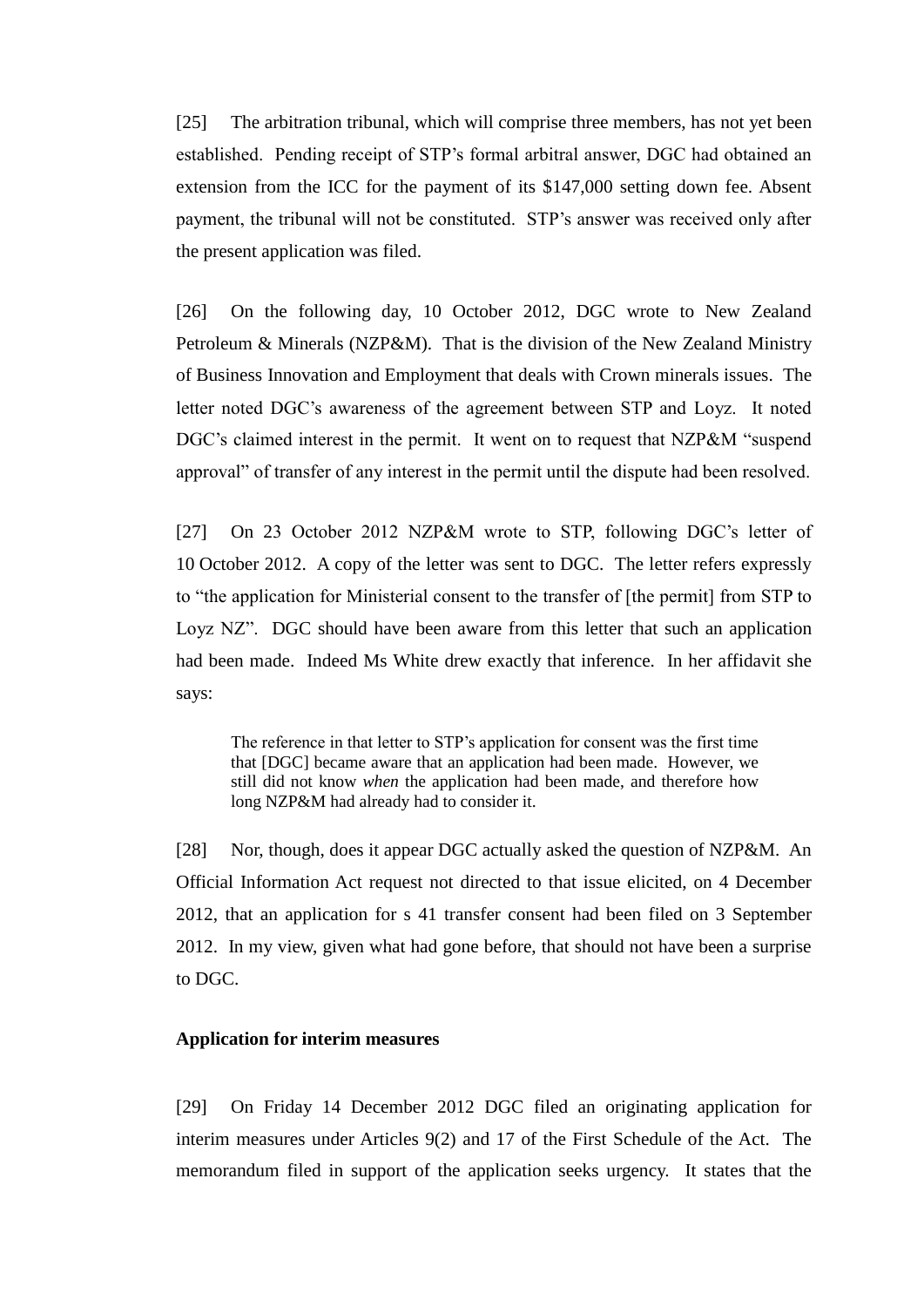[25] The arbitration tribunal, which will comprise three members, has not yet been established. Pending receipt of STP's formal arbitral answer, DGC had obtained an extension from the ICC for the payment of its \$147,000 setting down fee. Absent payment, the tribunal will not be constituted. STP's answer was received only after the present application was filed.

[26] On the following day, 10 October 2012, DGC wrote to New Zealand Petroleum & Minerals (NZP&M). That is the division of the New Zealand Ministry of Business Innovation and Employment that deals with Crown minerals issues. The letter noted DGC's awareness of the agreement between STP and Loyz. It noted DGC's claimed interest in the permit. It went on to request that NZP&M "suspend approval" of transfer of any interest in the permit until the dispute had been resolved.

[27] On 23 October 2012 NZP&M wrote to STP, following DGC's letter of 10 October 2012. A copy of the letter was sent to DGC. The letter refers expressly to "the application for Ministerial consent to the transfer of [the permit] from STP to Loyz NZ". DGC should have been aware from this letter that such an application had been made. Indeed Ms White drew exactly that inference. In her affidavit she says:

The reference in that letter to STP's application for consent was the first time that [DGC] became aware that an application had been made. However, we still did not know *when* the application had been made, and therefore how long NZP&M had already had to consider it.

[28] Nor, though, does it appear DGC actually asked the question of NZP&M. An Official Information Act request not directed to that issue elicited, on 4 December 2012, that an application for s 41 transfer consent had been filed on 3 September 2012. In my view, given what had gone before, that should not have been a surprise to DGC.

#### **Application for interim measures**

[29] On Friday 14 December 2012 DGC filed an originating application for interim measures under Articles 9(2) and 17 of the First Schedule of the Act. The memorandum filed in support of the application seeks urgency. It states that the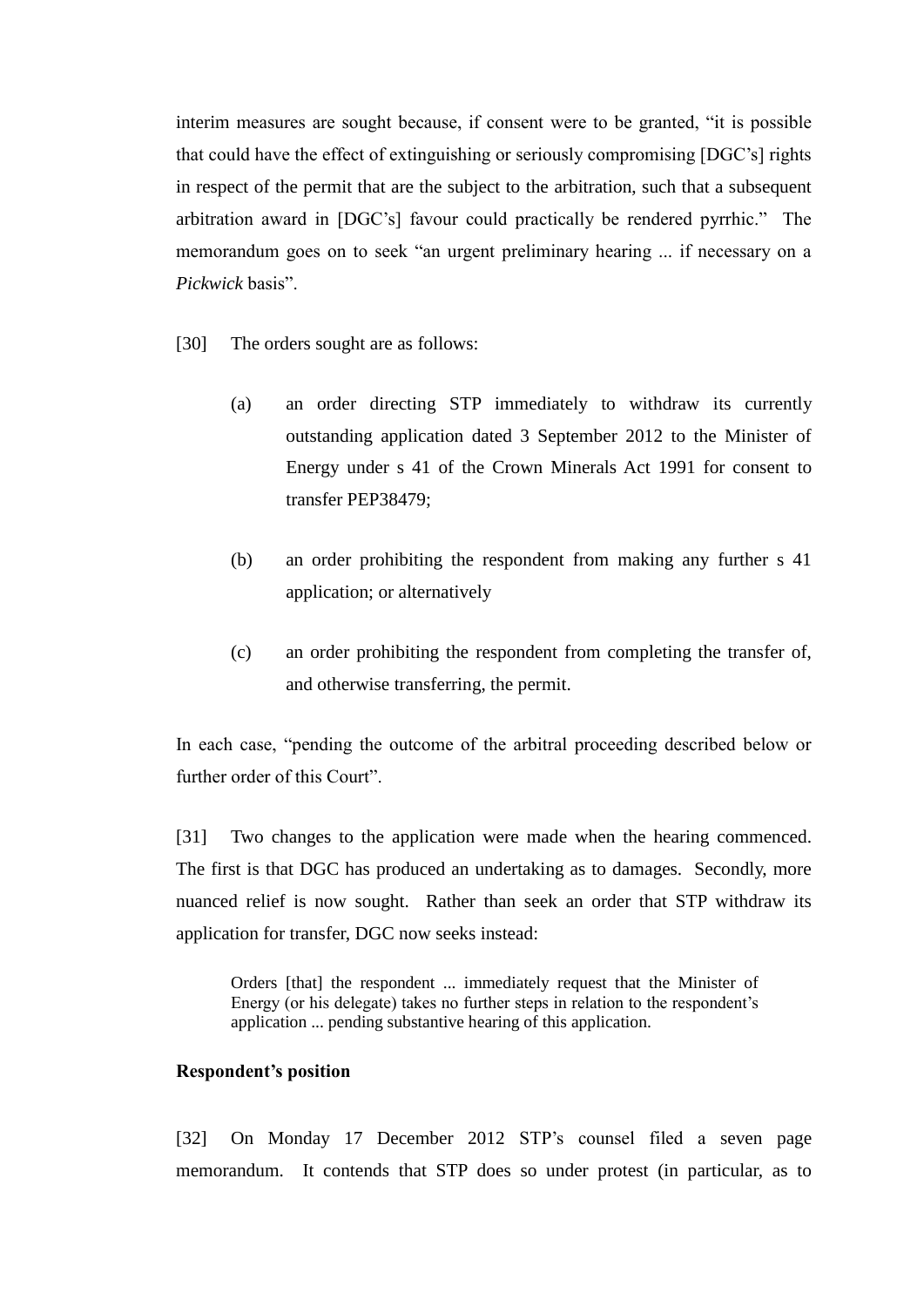interim measures are sought because, if consent were to be granted, "it is possible that could have the effect of extinguishing or seriously compromising [DGC's] rights in respect of the permit that are the subject to the arbitration, such that a subsequent arbitration award in [DGC's] favour could practically be rendered pyrrhic." The memorandum goes on to seek "an urgent preliminary hearing ... if necessary on a *Pickwick* basis".

- [30] The orders sought are as follows:
	- (a) an order directing STP immediately to withdraw its currently outstanding application dated 3 September 2012 to the Minister of Energy under s 41 of the Crown Minerals Act 1991 for consent to transfer PEP38479;
	- (b) an order prohibiting the respondent from making any further s 41 application; or alternatively
	- (c) an order prohibiting the respondent from completing the transfer of, and otherwise transferring, the permit.

In each case, "pending the outcome of the arbitral proceeding described below or further order of this Court".

[31] Two changes to the application were made when the hearing commenced. The first is that DGC has produced an undertaking as to damages. Secondly, more nuanced relief is now sought. Rather than seek an order that STP withdraw its application for transfer, DGC now seeks instead:

Orders [that] the respondent ... immediately request that the Minister of Energy (or his delegate) takes no further steps in relation to the respondent's application ... pending substantive hearing of this application.

#### **Respondent's position**

[32] On Monday 17 December 2012 STP's counsel filed a seven page memorandum. It contends that STP does so under protest (in particular, as to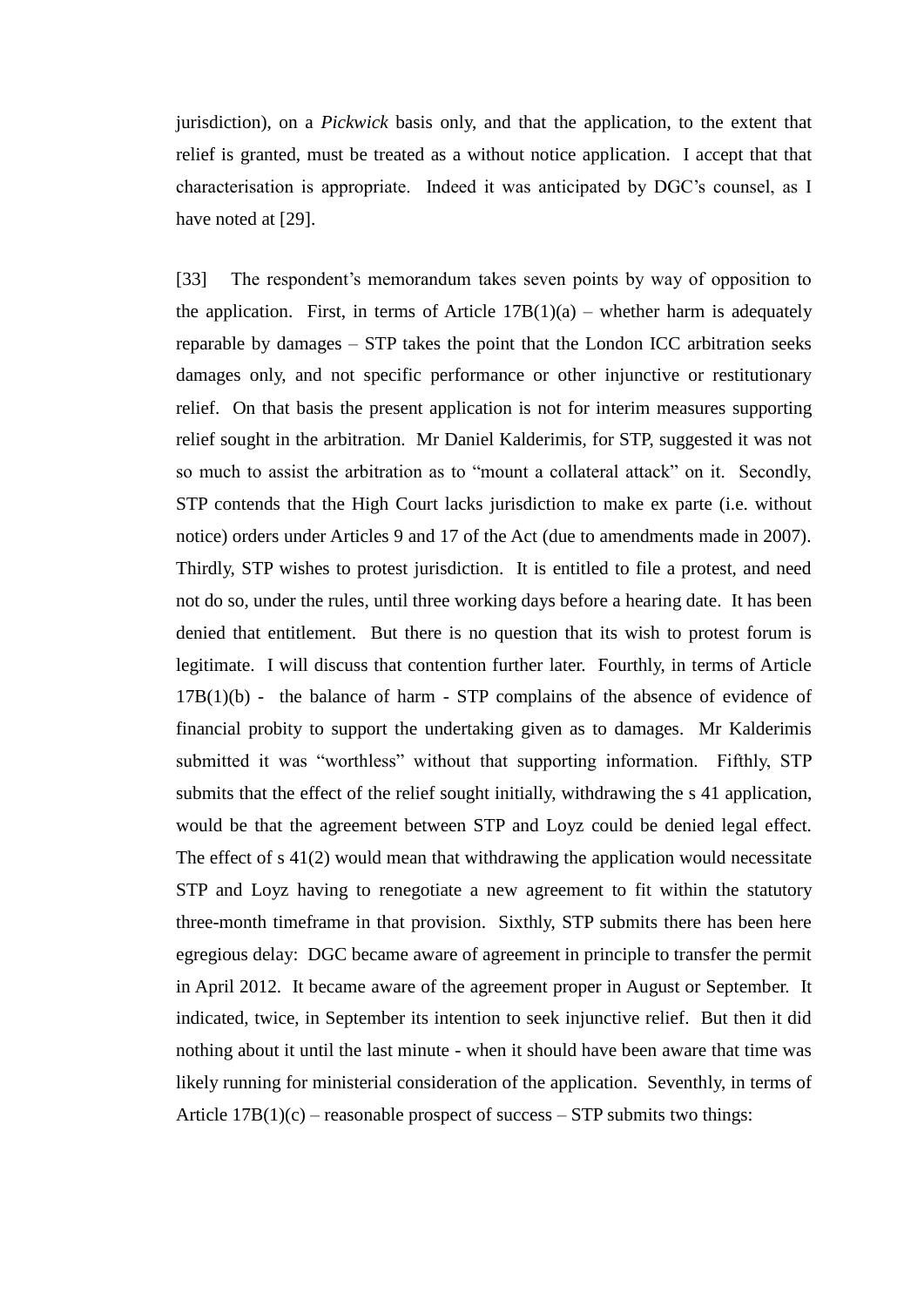jurisdiction), on a *Pickwick* basis only, and that the application, to the extent that relief is granted, must be treated as a without notice application. I accept that that characterisation is appropriate. Indeed it was anticipated by DGC's counsel, as I have noted at [29].

[33] The respondent's memorandum takes seven points by way of opposition to the application. First, in terms of Article  $17B(1)(a)$  – whether harm is adequately reparable by damages – STP takes the point that the London ICC arbitration seeks damages only, and not specific performance or other injunctive or restitutionary relief. On that basis the present application is not for interim measures supporting relief sought in the arbitration. Mr Daniel Kalderimis, for STP, suggested it was not so much to assist the arbitration as to "mount a collateral attack" on it. Secondly, STP contends that the High Court lacks jurisdiction to make ex parte (i.e. without notice) orders under Articles 9 and 17 of the Act (due to amendments made in 2007). Thirdly, STP wishes to protest jurisdiction. It is entitled to file a protest, and need not do so, under the rules, until three working days before a hearing date. It has been denied that entitlement. But there is no question that its wish to protest forum is legitimate. I will discuss that contention further later. Fourthly, in terms of Article  $17B(1)(b)$  - the balance of harm - STP complains of the absence of evidence of financial probity to support the undertaking given as to damages. Mr Kalderimis submitted it was "worthless" without that supporting information. Fifthly, STP submits that the effect of the relief sought initially, withdrawing the s 41 application, would be that the agreement between STP and Loyz could be denied legal effect. The effect of s 41(2) would mean that withdrawing the application would necessitate STP and Loyz having to renegotiate a new agreement to fit within the statutory three-month timeframe in that provision. Sixthly, STP submits there has been here egregious delay: DGC became aware of agreement in principle to transfer the permit in April 2012. It became aware of the agreement proper in August or September. It indicated, twice, in September its intention to seek injunctive relief. But then it did nothing about it until the last minute - when it should have been aware that time was likely running for ministerial consideration of the application. Seventhly, in terms of Article  $17B(1)(c)$  – reasonable prospect of success – STP submits two things: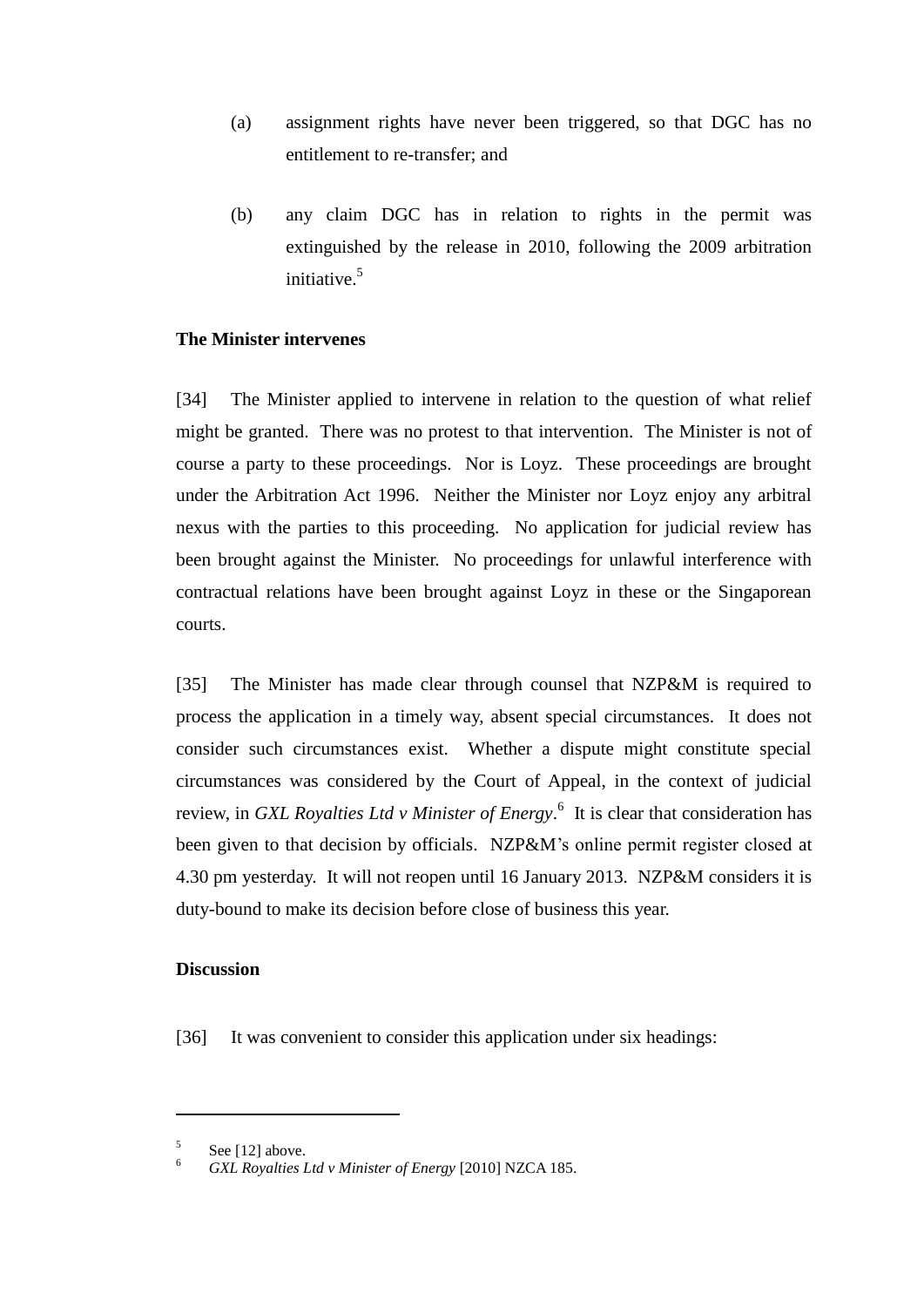- (a) assignment rights have never been triggered, so that DGC has no entitlement to re-transfer; and
- (b) any claim DGC has in relation to rights in the permit was extinguished by the release in 2010, following the 2009 arbitration initiative.<sup>5</sup>

#### **The Minister intervenes**

[34] The Minister applied to intervene in relation to the question of what relief might be granted. There was no protest to that intervention. The Minister is not of course a party to these proceedings. Nor is Loyz. These proceedings are brought under the Arbitration Act 1996. Neither the Minister nor Loyz enjoy any arbitral nexus with the parties to this proceeding. No application for judicial review has been brought against the Minister. No proceedings for unlawful interference with contractual relations have been brought against Loyz in these or the Singaporean courts.

[35] The Minister has made clear through counsel that NZP&M is required to process the application in a timely way, absent special circumstances. It does not consider such circumstances exist. Whether a dispute might constitute special circumstances was considered by the Court of Appeal, in the context of judicial review, in *GXL Royalties Ltd v Minister of Energy*.<sup>6</sup> It is clear that consideration has been given to that decision by officials. NZP&M's online permit register closed at 4.30 pm yesterday. It will not reopen until 16 January 2013. NZP&M considers it is duty-bound to make its decision before close of business this year.

#### **Discussion**

 $\overline{a}$ 

[36] It was convenient to consider this application under six headings:

<sup>5</sup> See [12] above.

<sup>6</sup> *GXL Royalties Ltd v Minister of Energy* [2010] NZCA 185.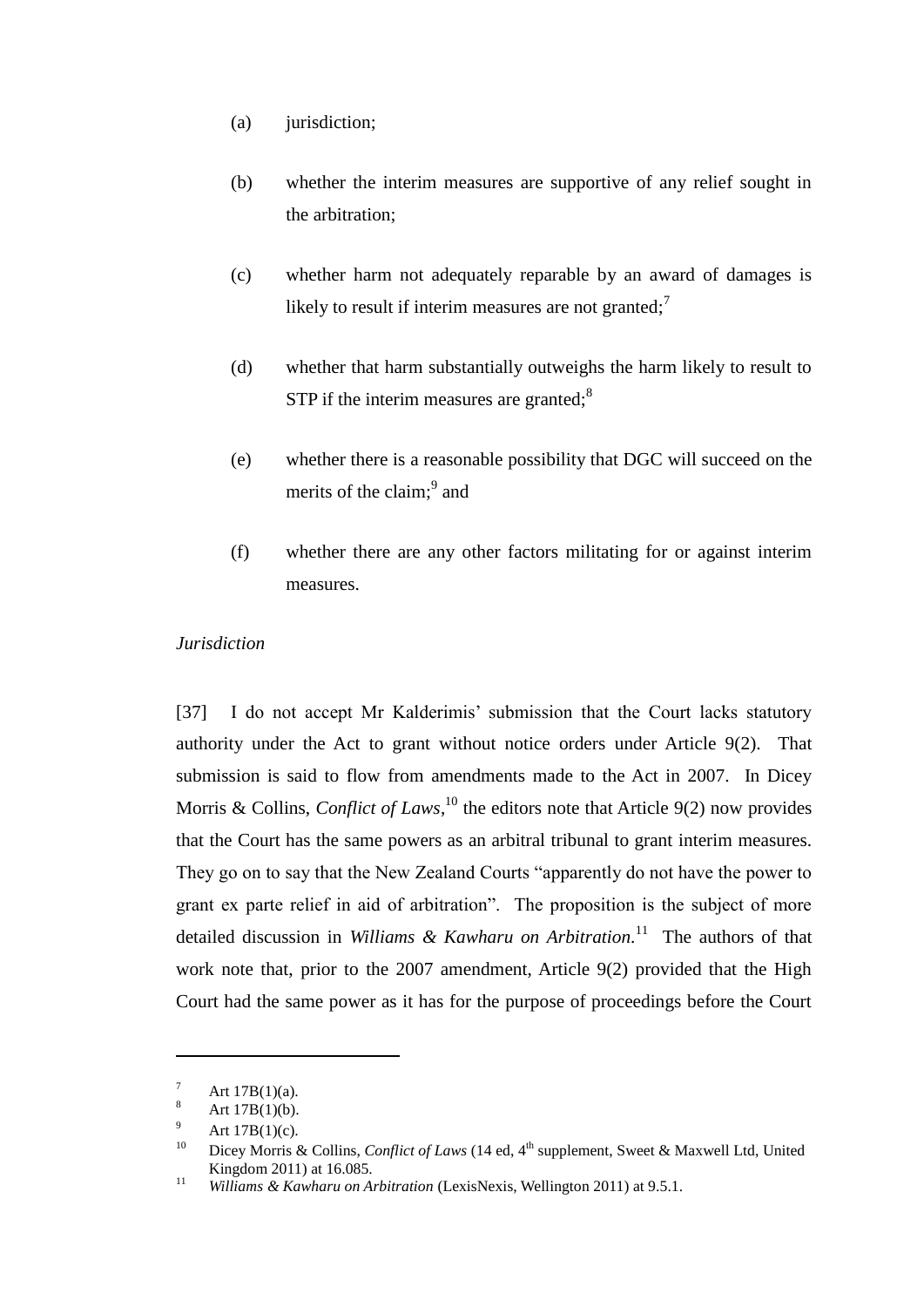- (a) jurisdiction;
- (b) whether the interim measures are supportive of any relief sought in the arbitration;
- (c) whether harm not adequately reparable by an award of damages is likely to result if interim measures are not granted;<sup>7</sup>
- (d) whether that harm substantially outweighs the harm likely to result to  $STP$  if the interim measures are granted; $\frac{8}{3}$
- (e) whether there is a reasonable possibility that DGC will succeed on the merits of the claim;<sup>9</sup> and
- (f) whether there are any other factors militating for or against interim measures.

## *Jurisdiction*

[37] I do not accept Mr Kalderimis' submission that the Court lacks statutory authority under the Act to grant without notice orders under Article 9(2). That submission is said to flow from amendments made to the Act in 2007. In Dicey Morris & Collins, *Conflict of Laws*,<sup>10</sup> the editors note that Article 9(2) now provides that the Court has the same powers as an arbitral tribunal to grant interim measures. They go on to say that the New Zealand Courts "apparently do not have the power to grant ex parte relief in aid of arbitration". The proposition is the subject of more detailed discussion in *Williams & Kawharu on Arbitration.* 11 The authors of that work note that, prior to the 2007 amendment, Article 9(2) provided that the High Court had the same power as it has for the purpose of proceedings before the Court

 $\frac{7}{8}$  Art 17B(1)(a).

Art  $17B(1)(b)$ .

<sup>&</sup>lt;sup>9</sup> Art 17B(1)(c).<br><sup>10</sup> Discussions of

Dicey Morris & Collins, *Conflict of Laws* (14 ed, 4<sup>th</sup> supplement, Sweet & Maxwell Ltd, United Kingdom 2011) at 16.085.

<sup>11</sup> *Williams & Kawharu on Arbitration* (LexisNexis, Wellington 2011) at 9.5.1.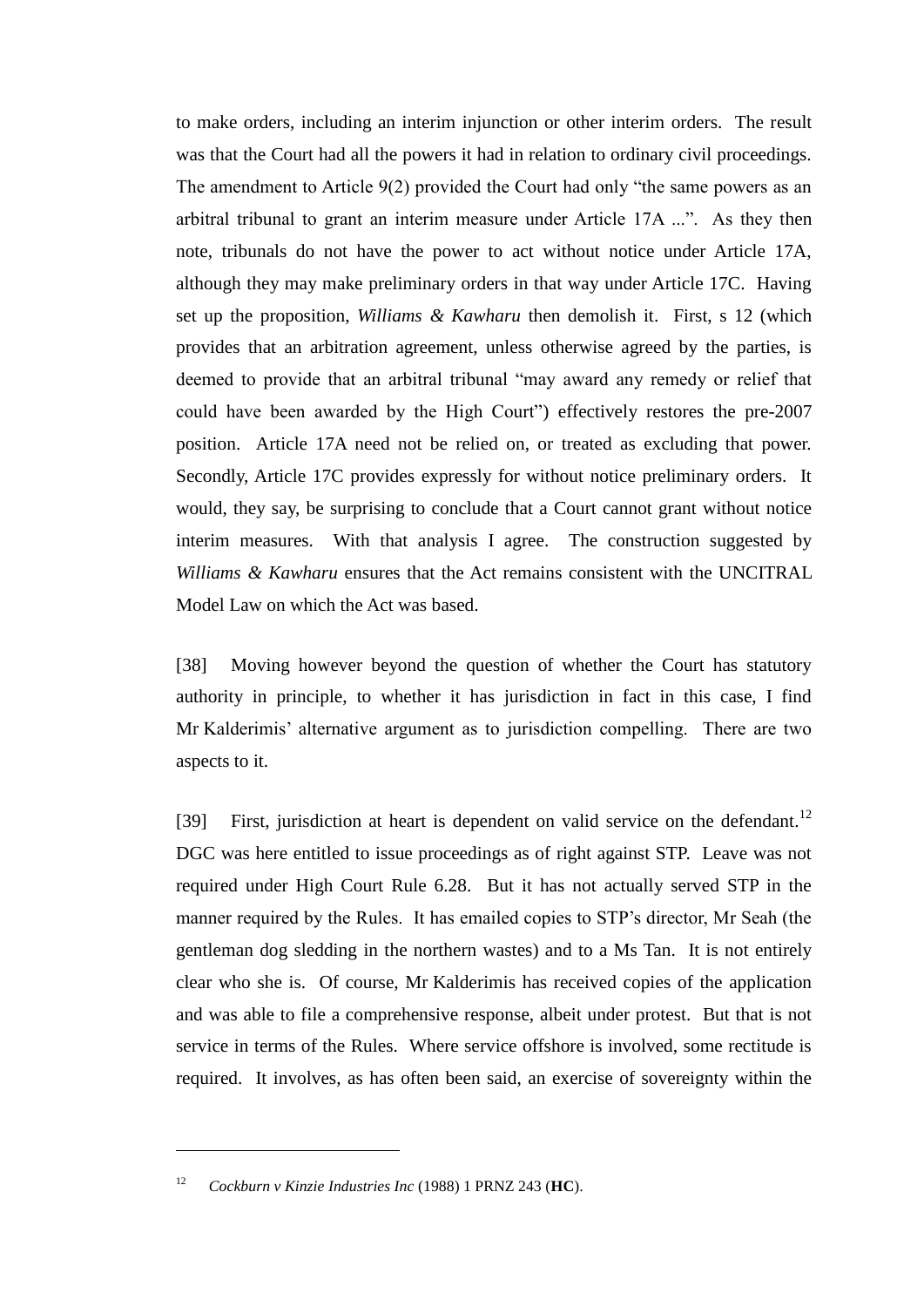to make orders, including an interim injunction or other interim orders. The result was that the Court had all the powers it had in relation to ordinary civil proceedings. The amendment to Article 9(2) provided the Court had only "the same powers as an arbitral tribunal to grant an interim measure under Article 17A ...". As they then note, tribunals do not have the power to act without notice under Article 17A, although they may make preliminary orders in that way under Article 17C. Having set up the proposition, *Williams & Kawharu* then demolish it. First, s 12 (which provides that an arbitration agreement, unless otherwise agreed by the parties, is deemed to provide that an arbitral tribunal "may award any remedy or relief that could have been awarded by the High Court") effectively restores the pre-2007 position. Article 17A need not be relied on, or treated as excluding that power. Secondly, Article 17C provides expressly for without notice preliminary orders. It would, they say, be surprising to conclude that a Court cannot grant without notice interim measures. With that analysis I agree. The construction suggested by *Williams & Kawharu* ensures that the Act remains consistent with the UNCITRAL Model Law on which the Act was based.

[38] Moving however beyond the question of whether the Court has statutory authority in principle, to whether it has jurisdiction in fact in this case, I find Mr Kalderimis' alternative argument as to jurisdiction compelling. There are two aspects to it.

[39] First, jurisdiction at heart is dependent on valid service on the defendant.<sup>12</sup> DGC was here entitled to issue proceedings as of right against STP. Leave was not required under High Court Rule 6.28. But it has not actually served STP in the manner required by the Rules. It has emailed copies to STP's director, Mr Seah (the gentleman dog sledding in the northern wastes) and to a Ms Tan. It is not entirely clear who she is. Of course, Mr Kalderimis has received copies of the application and was able to file a comprehensive response, albeit under protest. But that is not service in terms of the Rules. Where service offshore is involved, some rectitude is required. It involves, as has often been said, an exercise of sovereignty within the

 $\overline{a}$ 

<sup>12</sup> *Cockburn v Kinzie Industries Inc* (1988) 1 PRNZ 243 (**HC**).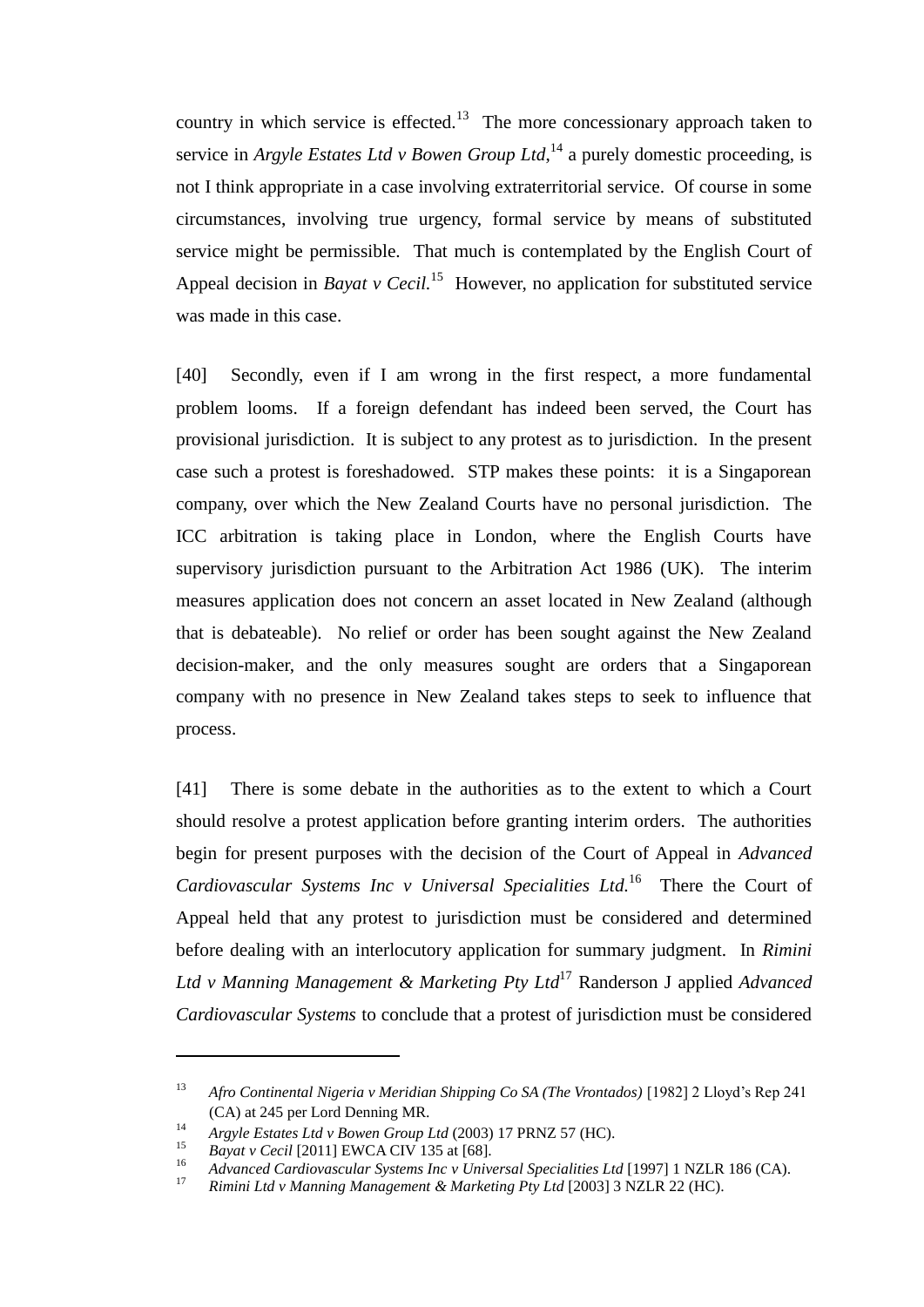country in which service is effected.<sup>13</sup> The more concessionary approach taken to service in *Argyle Estates Ltd v Bowen Group Ltd*,<sup>14</sup> a purely domestic proceeding, is not I think appropriate in a case involving extraterritorial service. Of course in some circumstances, involving true urgency, formal service by means of substituted service might be permissible. That much is contemplated by the English Court of Appeal decision in *Bayat v* Cecil.<sup>15</sup> However, no application for substituted service was made in this case.

[40] Secondly, even if I am wrong in the first respect, a more fundamental problem looms. If a foreign defendant has indeed been served, the Court has provisional jurisdiction. It is subject to any protest as to jurisdiction. In the present case such a protest is foreshadowed. STP makes these points: it is a Singaporean company, over which the New Zealand Courts have no personal jurisdiction. The ICC arbitration is taking place in London, where the English Courts have supervisory jurisdiction pursuant to the Arbitration Act 1986 (UK). The interim measures application does not concern an asset located in New Zealand (although that is debateable). No relief or order has been sought against the New Zealand decision-maker, and the only measures sought are orders that a Singaporean company with no presence in New Zealand takes steps to seek to influence that process.

[41] There is some debate in the authorities as to the extent to which a Court should resolve a protest application before granting interim orders. The authorities begin for present purposes with the decision of the Court of Appeal in *Advanced Cardiovascular Systems Inc v Universal Specialities Ltd.* 16 There the Court of Appeal held that any protest to jurisdiction must be considered and determined before dealing with an interlocutory application for summary judgment. In *Rimini Ltd v Manning Management & Marketing Pty Ltd* <sup>17</sup> Randerson J applied *Advanced Cardiovascular Systems* to conclude that a protest of jurisdiction must be considered

<sup>&</sup>lt;sup>13</sup> *Afro Continental Nigeria v Meridian Shipping Co SA (The Vrontados)* [1982] 2 Lloyd's Rep 241 (CA) at 245 per Lord Denning MR.

<sup>&</sup>lt;sup>14</sup> *Argyle Estates Ltd v Bowen Group Ltd* (2003) 17 PRNZ 57 (HC).

<sup>&</sup>lt;sup>15</sup> *Bayat v Cecil* [2011] EWCA CIV 135 at [68].

<sup>&</sup>lt;sup>16</sup> *Advanced Cardiovascular Systems Inc v Universal Specialities Ltd* [1997] 1 NZLR 186 (CA).<br><sup>17</sup> *Pinini Ltd. Manning Management*, *<sup>8</sup> Manhating Ptu Ltd* [2002] 2 NZLP 22 (UC).

<sup>17</sup> *Rimini Ltd v Manning Management & Marketing Pty Ltd* [2003] 3 NZLR 22 (HC).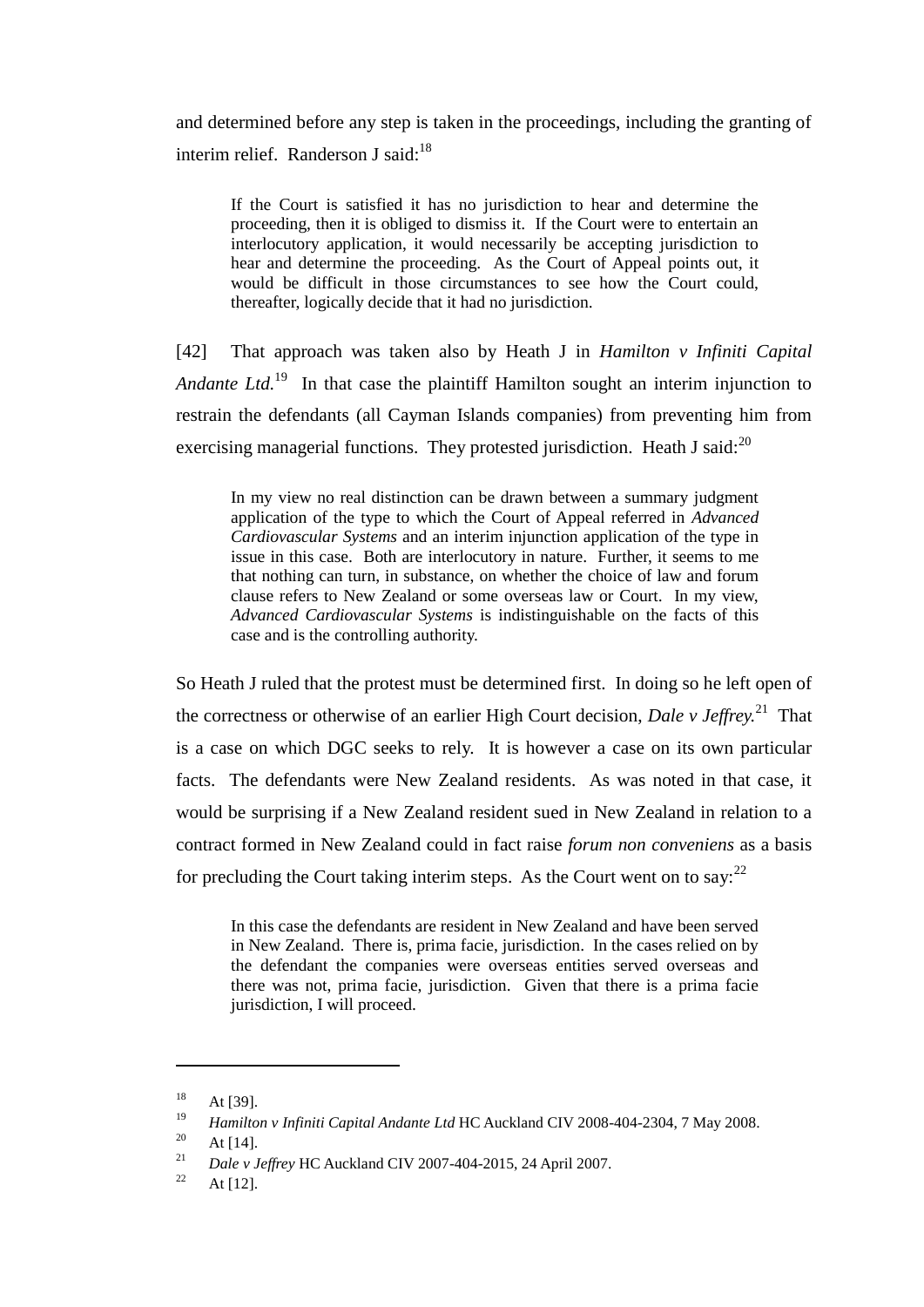and determined before any step is taken in the proceedings, including the granting of interim relief. Randerson J said: $18$ 

If the Court is satisfied it has no jurisdiction to hear and determine the proceeding, then it is obliged to dismiss it. If the Court were to entertain an interlocutory application, it would necessarily be accepting jurisdiction to hear and determine the proceeding. As the Court of Appeal points out, it would be difficult in those circumstances to see how the Court could, thereafter, logically decide that it had no jurisdiction.

[42] That approach was taken also by Heath J in *Hamilton v Infiniti Capital*  Andante Ltd.<sup>19</sup> In that case the plaintiff Hamilton sought an interim injunction to restrain the defendants (all Cayman Islands companies) from preventing him from exercising managerial functions. They protested jurisdiction. Heath J said: $^{20}$ 

In my view no real distinction can be drawn between a summary judgment application of the type to which the Court of Appeal referred in *Advanced Cardiovascular Systems* and an interim injunction application of the type in issue in this case. Both are interlocutory in nature. Further, it seems to me that nothing can turn, in substance, on whether the choice of law and forum clause refers to New Zealand or some overseas law or Court. In my view, *Advanced Cardiovascular Systems* is indistinguishable on the facts of this case and is the controlling authority.

So Heath J ruled that the protest must be determined first. In doing so he left open of the correctness or otherwise of an earlier High Court decision, *Dale v Jeffrey.* 21 That is a case on which DGC seeks to rely. It is however a case on its own particular facts. The defendants were New Zealand residents. As was noted in that case, it would be surprising if a New Zealand resident sued in New Zealand in relation to a contract formed in New Zealand could in fact raise *forum non conveniens* as a basis for precluding the Court taking interim steps. As the Court went on to say:  $2^2$ 

In this case the defendants are resident in New Zealand and have been served in New Zealand. There is, prima facie, jurisdiction. In the cases relied on by the defendant the companies were overseas entities served overseas and there was not, prima facie, jurisdiction. Given that there is a prima facie jurisdiction, I will proceed.

l

 $18$  At [39].

<sup>19</sup> *Hamilton v Infiniti Capital Andante Ltd* HC Auckland CIV 2008-404-2304, 7 May 2008.

 $\frac{20}{21}$  At [14].

<sup>21</sup> *Dale v Jeffrey* HC Auckland CIV 2007-404-2015, 24 April 2007.

<sup>&</sup>lt;sup>22</sup> At [12].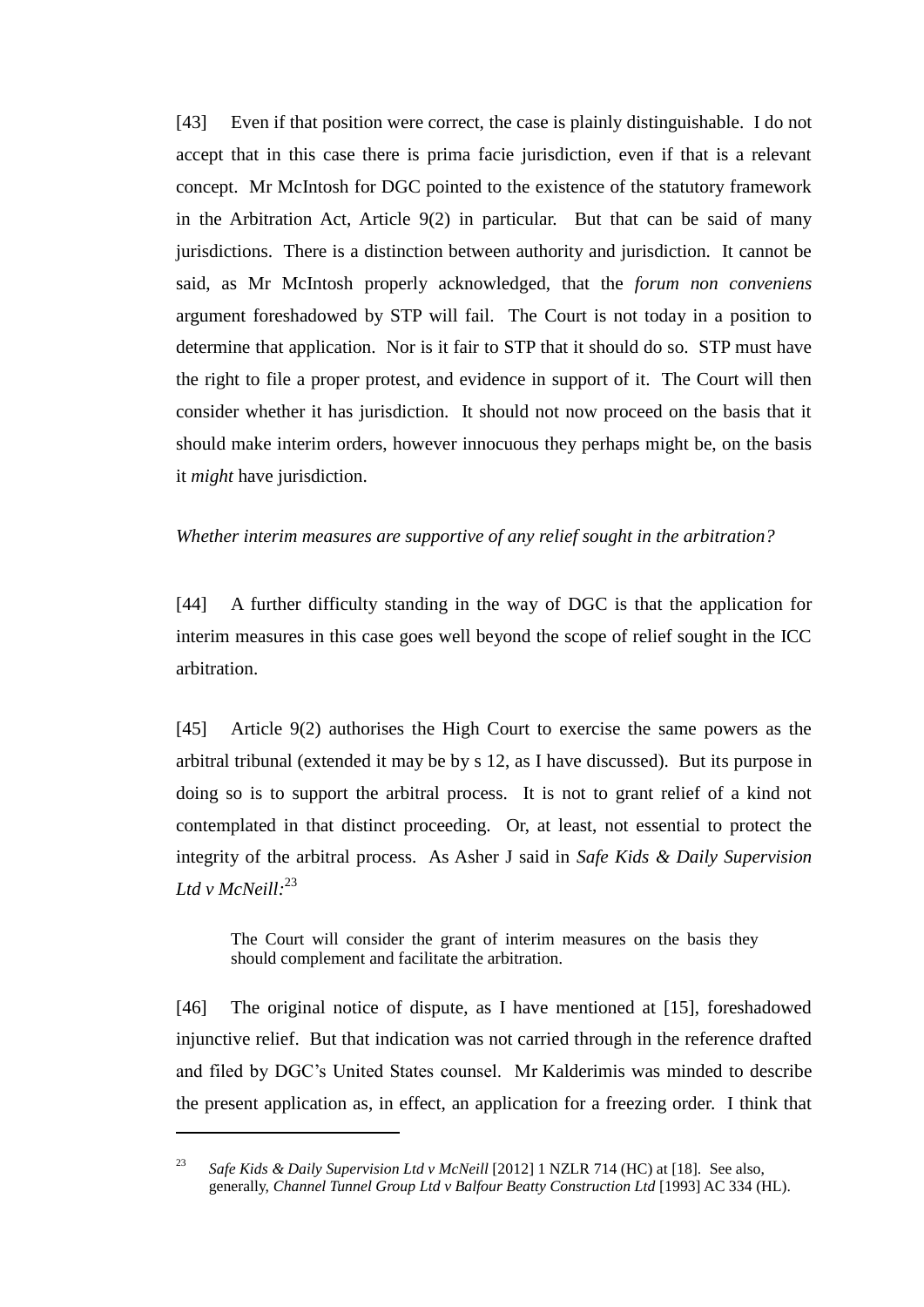[43] Even if that position were correct, the case is plainly distinguishable. I do not accept that in this case there is prima facie jurisdiction, even if that is a relevant concept. Mr McIntosh for DGC pointed to the existence of the statutory framework in the Arbitration Act, Article 9(2) in particular. But that can be said of many jurisdictions. There is a distinction between authority and jurisdiction. It cannot be said, as Mr McIntosh properly acknowledged, that the *forum non conveniens* argument foreshadowed by STP will fail. The Court is not today in a position to determine that application. Nor is it fair to STP that it should do so. STP must have the right to file a proper protest, and evidence in support of it. The Court will then consider whether it has jurisdiction. It should not now proceed on the basis that it should make interim orders, however innocuous they perhaps might be, on the basis it *might* have jurisdiction.

### *Whether interim measures are supportive of any relief sought in the arbitration?*

[44] A further difficulty standing in the way of DGC is that the application for interim measures in this case goes well beyond the scope of relief sought in the ICC arbitration.

[45] Article 9(2) authorises the High Court to exercise the same powers as the arbitral tribunal (extended it may be by s 12, as I have discussed). But its purpose in doing so is to support the arbitral process. It is not to grant relief of a kind not contemplated in that distinct proceeding. Or, at least, not essential to protect the integrity of the arbitral process. As Asher J said in *Safe Kids & Daily Supervision Ltd v McNeill:* 23

The Court will consider the grant of interim measures on the basis they should complement and facilitate the arbitration.

[46] The original notice of dispute, as I have mentioned at [15], foreshadowed injunctive relief. But that indication was not carried through in the reference drafted and filed by DGC's United States counsel. Mr Kalderimis was minded to describe the present application as, in effect, an application for a freezing order. I think that

<sup>23</sup> *Safe Kids & Daily Supervision Ltd v McNeill* [2012] 1 NZLR 714 (HC) at [18]. See also, generally, *Channel Tunnel Group Ltd v Balfour Beatty Construction Ltd* [1993] AC 334 (HL).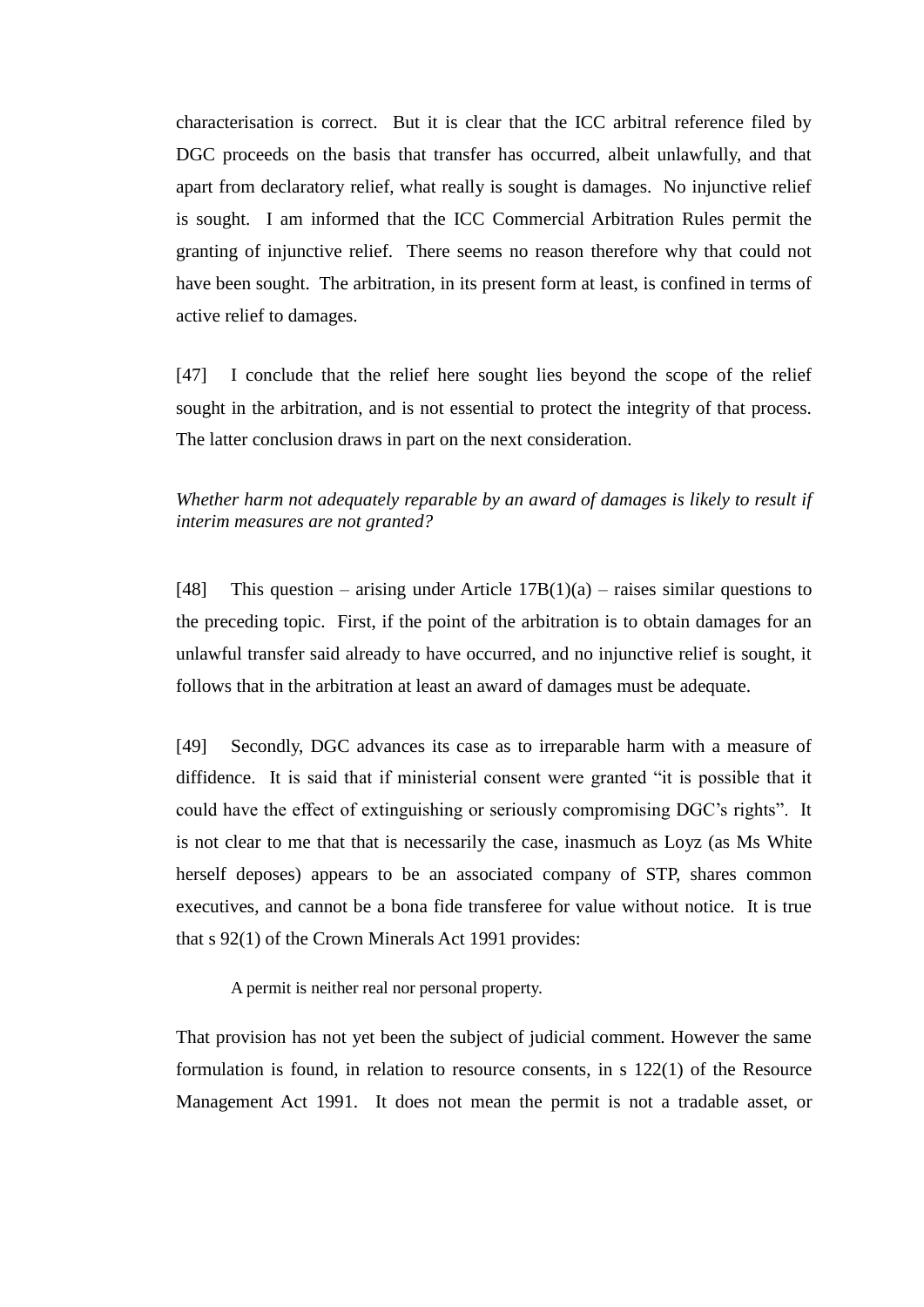characterisation is correct. But it is clear that the ICC arbitral reference filed by DGC proceeds on the basis that transfer has occurred, albeit unlawfully, and that apart from declaratory relief, what really is sought is damages. No injunctive relief is sought. I am informed that the ICC Commercial Arbitration Rules permit the granting of injunctive relief. There seems no reason therefore why that could not have been sought. The arbitration, in its present form at least, is confined in terms of active relief to damages.

[47] I conclude that the relief here sought lies beyond the scope of the relief sought in the arbitration, and is not essential to protect the integrity of that process. The latter conclusion draws in part on the next consideration.

## *Whether harm not adequately reparable by an award of damages is likely to result if interim measures are not granted?*

[48] This question – arising under Article  $17B(1)(a)$  – raises similar questions to the preceding topic. First, if the point of the arbitration is to obtain damages for an unlawful transfer said already to have occurred, and no injunctive relief is sought, it follows that in the arbitration at least an award of damages must be adequate.

[49] Secondly, DGC advances its case as to irreparable harm with a measure of diffidence. It is said that if ministerial consent were granted "it is possible that it could have the effect of extinguishing or seriously compromising DGC's rights". It is not clear to me that that is necessarily the case, inasmuch as Loyz (as Ms White herself deposes) appears to be an associated company of STP, shares common executives, and cannot be a bona fide transferee for value without notice. It is true that s 92(1) of the Crown Minerals Act 1991 provides:

A permit is neither real nor personal property.

That provision has not yet been the subject of judicial comment. However the same formulation is found, in relation to resource consents, in s 122(1) of the Resource Management Act 1991. It does not mean the permit is not a tradable asset, or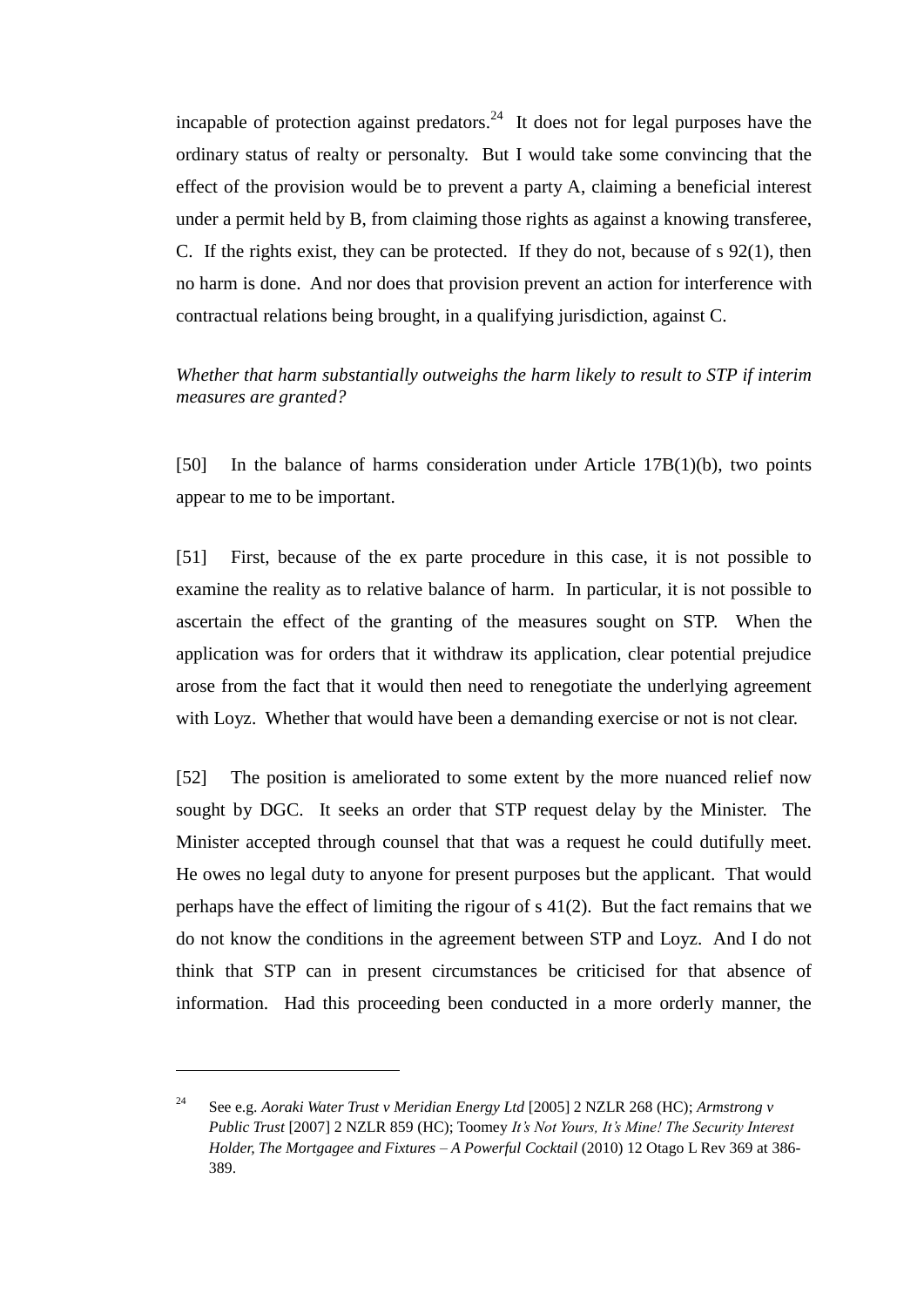incapable of protection against predators.<sup>24</sup> It does not for legal purposes have the ordinary status of realty or personalty. But I would take some convincing that the effect of the provision would be to prevent a party A, claiming a beneficial interest under a permit held by B, from claiming those rights as against a knowing transferee, C. If the rights exist, they can be protected. If they do not, because of s 92(1), then no harm is done. And nor does that provision prevent an action for interference with contractual relations being brought, in a qualifying jurisdiction, against C.

## *Whether that harm substantially outweighs the harm likely to result to STP if interim measures are granted?*

[50] In the balance of harms consideration under Article 17B(1)(b), two points appear to me to be important.

[51] First, because of the ex parte procedure in this case, it is not possible to examine the reality as to relative balance of harm. In particular, it is not possible to ascertain the effect of the granting of the measures sought on STP. When the application was for orders that it withdraw its application, clear potential prejudice arose from the fact that it would then need to renegotiate the underlying agreement with Loyz. Whether that would have been a demanding exercise or not is not clear.

[52] The position is ameliorated to some extent by the more nuanced relief now sought by DGC. It seeks an order that STP request delay by the Minister. The Minister accepted through counsel that that was a request he could dutifully meet. He owes no legal duty to anyone for present purposes but the applicant. That would perhaps have the effect of limiting the rigour of s 41(2). But the fact remains that we do not know the conditions in the agreement between STP and Loyz. And I do not think that STP can in present circumstances be criticised for that absence of information. Had this proceeding been conducted in a more orderly manner, the

 $\overline{a}$ 

<sup>24</sup> See e.g. *Aoraki Water Trust v Meridian Energy Ltd* [2005] 2 NZLR 268 (HC); *Armstrong v Public Trust* [2007] 2 NZLR 859 (HC); Toomey *It's Not Yours, It's Mine! The Security Interest Holder, The Mortgagee and Fixtures – A Powerful Cocktail* (2010) 12 Otago L Rev 369 at 386- 389.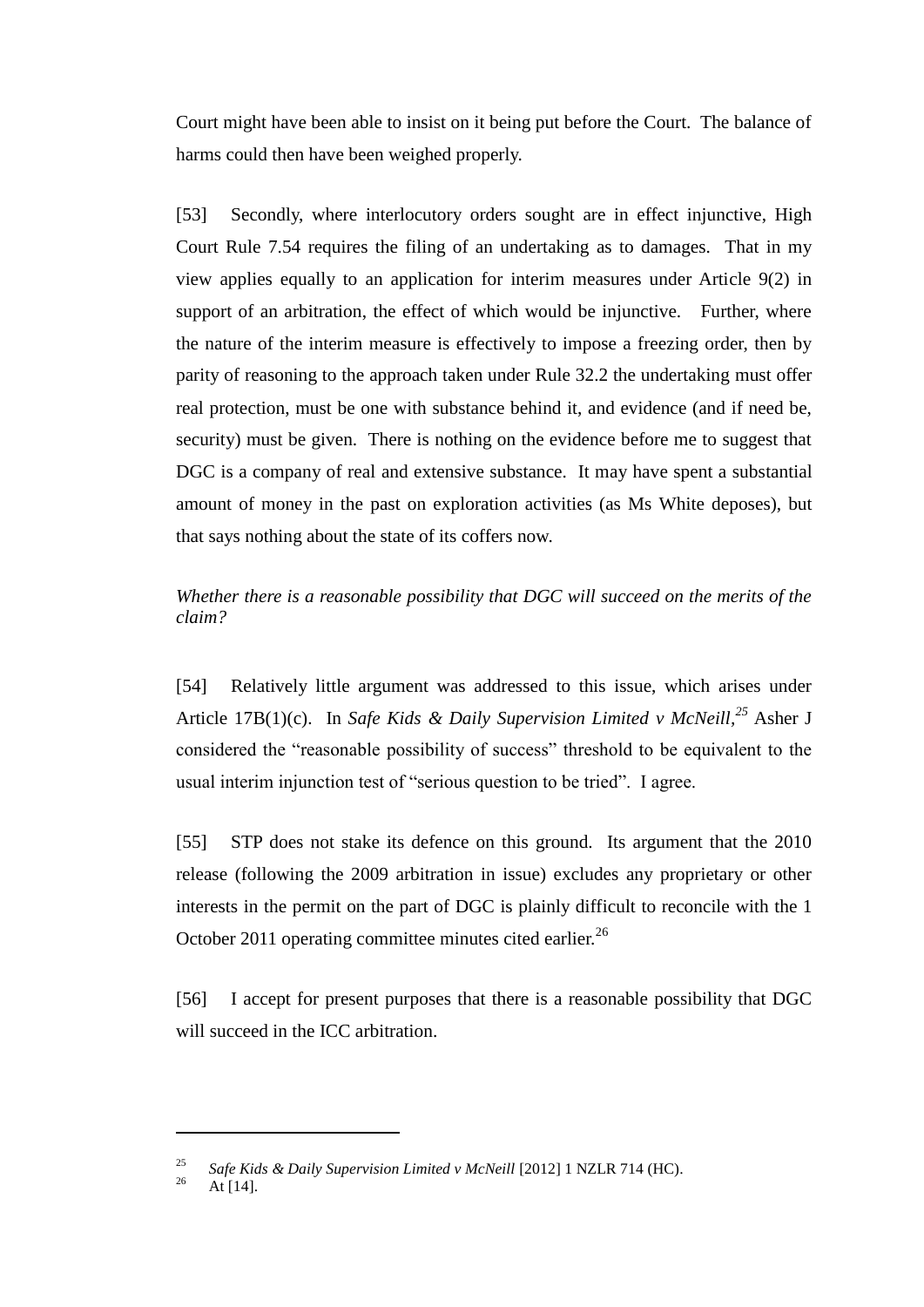Court might have been able to insist on it being put before the Court. The balance of harms could then have been weighed properly.

[53] Secondly, where interlocutory orders sought are in effect injunctive, High Court Rule 7.54 requires the filing of an undertaking as to damages. That in my view applies equally to an application for interim measures under Article 9(2) in support of an arbitration, the effect of which would be injunctive. Further, where the nature of the interim measure is effectively to impose a freezing order, then by parity of reasoning to the approach taken under Rule 32.2 the undertaking must offer real protection, must be one with substance behind it, and evidence (and if need be, security) must be given. There is nothing on the evidence before me to suggest that DGC is a company of real and extensive substance. It may have spent a substantial amount of money in the past on exploration activities (as Ms White deposes), but that says nothing about the state of its coffers now.

## *Whether there is a reasonable possibility that DGC will succeed on the merits of the claim?*

[54] Relatively little argument was addressed to this issue, which arises under Article 17B(1)(c). In *Safe Kids & Daily Supervision Limited v McNeill,<sup>25</sup>* Asher J considered the "reasonable possibility of success" threshold to be equivalent to the usual interim injunction test of "serious question to be tried". I agree.

[55] STP does not stake its defence on this ground. Its argument that the 2010 release (following the 2009 arbitration in issue) excludes any proprietary or other interests in the permit on the part of DGC is plainly difficult to reconcile with the 1 October 2011 operating committee minutes cited earlier.<sup>26</sup>

[56] I accept for present purposes that there is a reasonable possibility that DGC will succeed in the ICC arbitration.

<sup>&</sup>lt;sup>25</sup> *Safe Kids & Daily Supervision Limited v McNeill* [2012] 1 NZLR 714 (HC).

At  $[14]$ .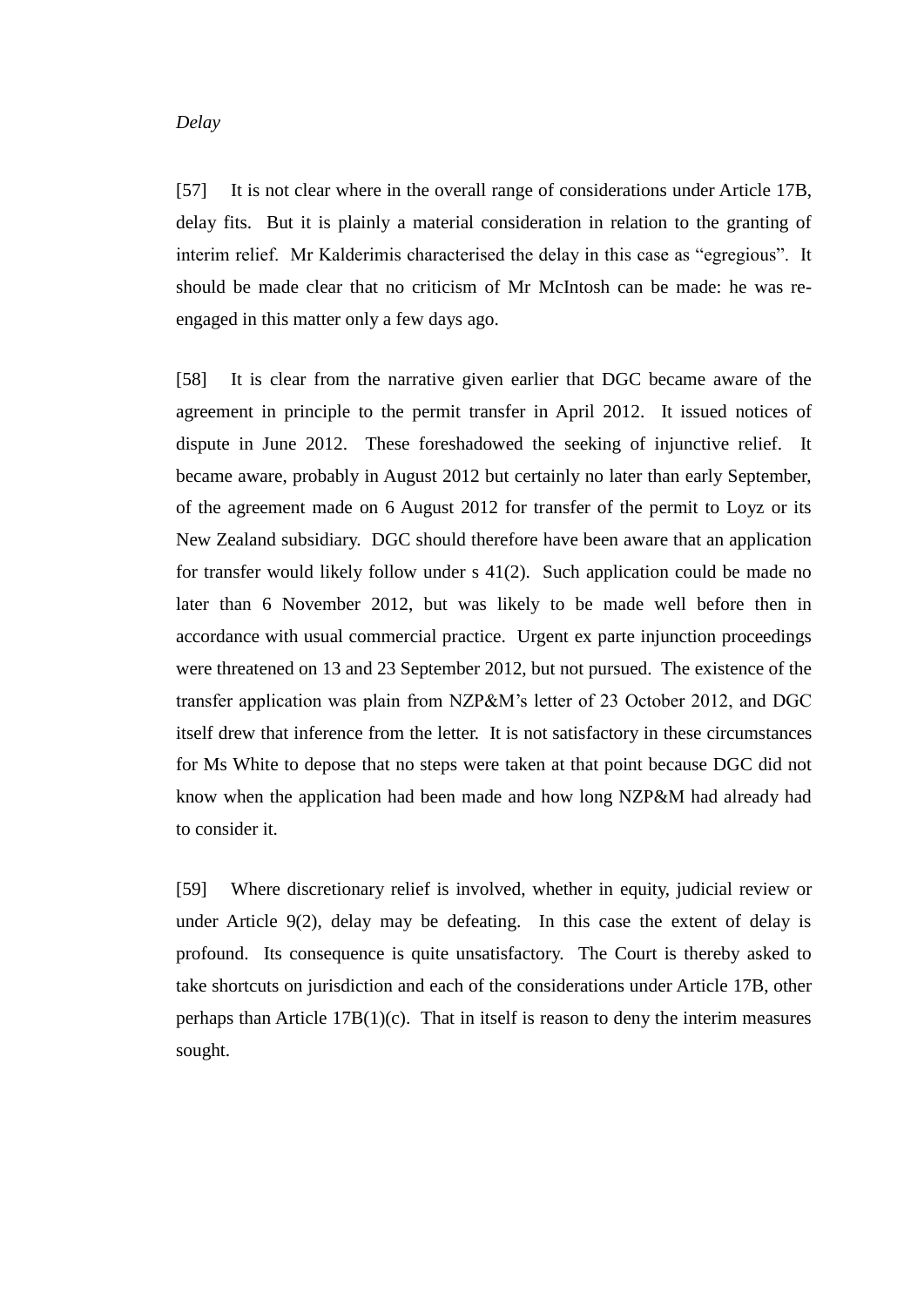#### *Delay*

[57] It is not clear where in the overall range of considerations under Article 17B, delay fits. But it is plainly a material consideration in relation to the granting of interim relief. Mr Kalderimis characterised the delay in this case as "egregious". It should be made clear that no criticism of Mr McIntosh can be made: he was reengaged in this matter only a few days ago.

[58] It is clear from the narrative given earlier that DGC became aware of the agreement in principle to the permit transfer in April 2012. It issued notices of dispute in June 2012. These foreshadowed the seeking of injunctive relief. It became aware, probably in August 2012 but certainly no later than early September, of the agreement made on 6 August 2012 for transfer of the permit to Loyz or its New Zealand subsidiary. DGC should therefore have been aware that an application for transfer would likely follow under s 41(2). Such application could be made no later than 6 November 2012, but was likely to be made well before then in accordance with usual commercial practice. Urgent ex parte injunction proceedings were threatened on 13 and 23 September 2012, but not pursued. The existence of the transfer application was plain from NZP&M's letter of 23 October 2012, and DGC itself drew that inference from the letter. It is not satisfactory in these circumstances for Ms White to depose that no steps were taken at that point because DGC did not know when the application had been made and how long NZP&M had already had to consider it.

[59] Where discretionary relief is involved, whether in equity, judicial review or under Article 9(2), delay may be defeating. In this case the extent of delay is profound. Its consequence is quite unsatisfactory. The Court is thereby asked to take shortcuts on jurisdiction and each of the considerations under Article 17B, other perhaps than Article  $17B(1)(c)$ . That in itself is reason to deny the interim measures sought.